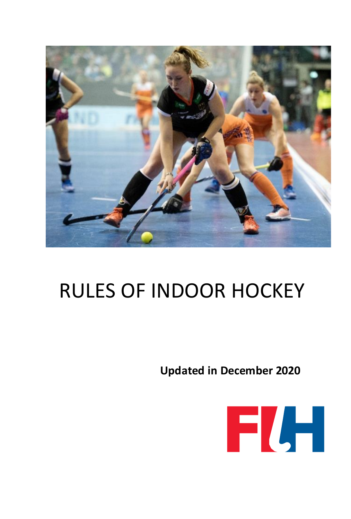

# RULES OF INDOOR HOCKEY

**Updated in December 2020**

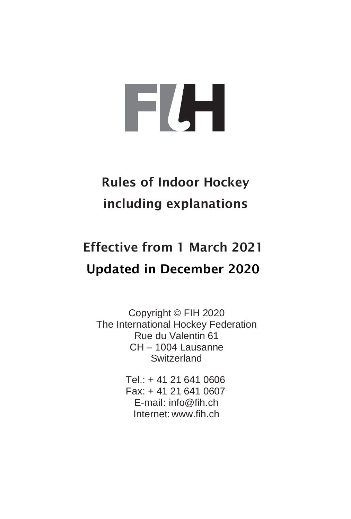# FLH

## Rules of Indoor Hockey including explanations

# Effective from 1 March 2021 Updated in December 2020

Copyright © FIH 2020 The International Hockey Federation Rue du Valentin 61 CH – 1004 Lausanne **Switzerland** 

> Tel.: + 41 21 641 0606 Fax: + 41 21 641 0607 E-mail[: info@fih.ch](mailto:info@fih.ch) Internet: www.fih.ch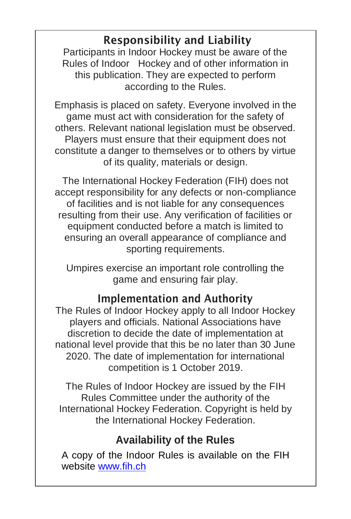## Responsibility and Liability

Participants in Indoor Hockey must be aware of the Rules of Indoor Hockey and of other information in this publication. They are expected to perform according to the Rules.

Emphasis is placed on safety. Everyone involved in the game must act with consideration for the safety of others. Relevant national legislation must be observed. Players must ensure that their equipment does not constitute a danger to themselves or to others by virtue of its quality, materials or design.

The International Hockey Federation (FIH) does not accept responsibility for any defects or non-compliance of facilities and is not liable for any consequences resulting from their use. Any verification of facilities or equipment conducted before a match is limited to ensuring an overall appearance of compliance and sporting requirements.

Umpires exercise an important role controlling the game and ensuring fair play.

## Implementation and Authority

The Rules of Indoor Hockey apply to all Indoor Hockey players and officials. National Associations have discretion to decide the date of implementation at national level provide that this be no later than 30 June 2020. The date of implementation for international competition is 1 October 2019.

The Rules of Indoor Hockey are issued by the FIH Rules Committee under the authority of the International Hockey Federation. Copyright is held by the International Hockey Federation.

## **Availability of the Rules**

A copy of the Indoor Rules is available on the FIH website [www.fih.ch](http://www.fih.ch/)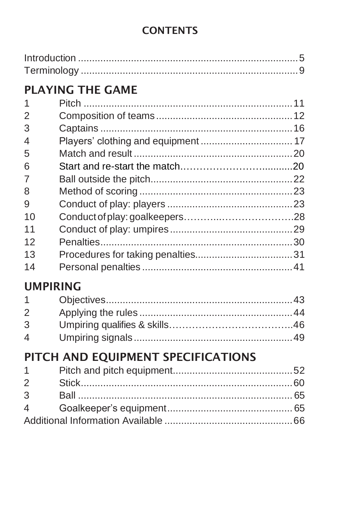## **CONTENTS**

| <b>PLAYING THE GAME</b>                               |  |  |  |  |  |
|-------------------------------------------------------|--|--|--|--|--|
| 1                                                     |  |  |  |  |  |
| $\overline{2}$                                        |  |  |  |  |  |
| 3                                                     |  |  |  |  |  |
| Players' clothing and equipment  17<br>$\overline{4}$ |  |  |  |  |  |
| 5                                                     |  |  |  |  |  |
| 6                                                     |  |  |  |  |  |
| $\overline{7}$                                        |  |  |  |  |  |
| 8                                                     |  |  |  |  |  |
| 9                                                     |  |  |  |  |  |
| 10                                                    |  |  |  |  |  |
| 11                                                    |  |  |  |  |  |
| 12                                                    |  |  |  |  |  |
| 13                                                    |  |  |  |  |  |
| 14                                                    |  |  |  |  |  |
| <b>UMPIRING</b>                                       |  |  |  |  |  |
| 1                                                     |  |  |  |  |  |
| $\overline{2}$                                        |  |  |  |  |  |
| 3                                                     |  |  |  |  |  |
| $\boldsymbol{\Delta}$                                 |  |  |  |  |  |
| PITCH AND EQUIPMENT SPECIFICATIONS                    |  |  |  |  |  |
| 1                                                     |  |  |  |  |  |
| $\overline{2}$                                        |  |  |  |  |  |
| 3                                                     |  |  |  |  |  |
| $\overline{\mathcal{A}}$                              |  |  |  |  |  |
|                                                       |  |  |  |  |  |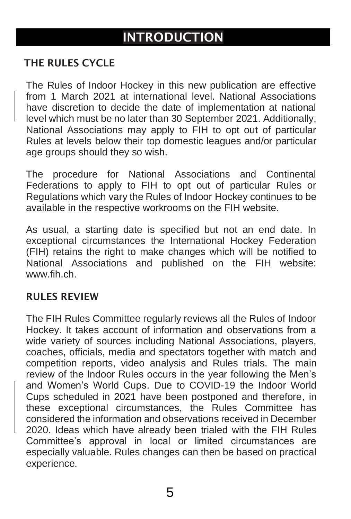## INTRODUCTION

#### <span id="page-4-0"></span>THE RULES CYCLE

The Rules of Indoor Hockey in this new publication are effective from 1 March 2021 at international level. National Associations have discretion to decide the date of implementation at national level which must be no later than 30 September 2021. Additionally, National Associations may apply to FIH to opt out of particular Rules at levels below their top domestic leagues and/or particular age groups should they so wish.

The procedure for National Associations and Continental Federations to apply to FIH to opt out of particular Rules or Regulations which vary the Rules of Indoor Hockey continues to be available in the respective workrooms on the FIH website.

As usual, a starting date is specified but not an end date. In exceptional circumstances the International Hockey Federation  $(FIH)$  retains the right to make changes which will be notified to National Associations and published on the FIH website: www.fih.ch

#### RULES REVIEW

The FIH Rules Committee regularly reviews all the Rules of Indoor Hockey. It takes account of information and observations from a wide variety of sources including National Associations, players, coaches, officials, media and spectators together with match and competition reports, video analysis and Rules trials. The main review of the Indoor Rules occurs in the year following the Men's and Women's World Cups. Due to COVID-19 the Indoor World Cups scheduled in 2021 have been postponed and therefore, in these exceptional circumstances, the Rules Committee has considered the information and observations received in December 2020. Ideas which have already been trialed with the FIH Rules Committee's approval in local or limited circumstances are especially valuable. Rules changes can then be based on practical experience.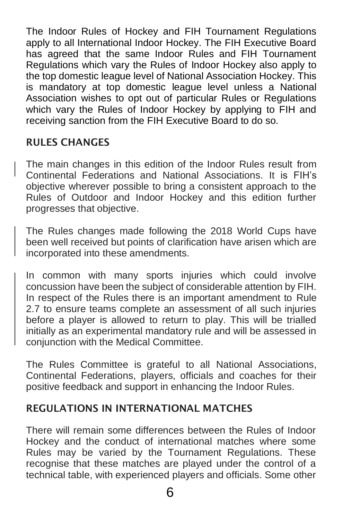The Indoor Rules of Hockey and FIH Tournament Regulations apply to all International Indoor Hockey. The FIH Executive Board has agreed that the same Indoor Rules and FIH Tournament Regulations which vary the Rules of Indoor Hockey also apply to the top domestic league level of National Association Hockey. This is mandatory at top domestic league level unless a National Association wishes to opt out of particular Rules or Regulations which vary the Rules of Indoor Hockey by applying to FIH and receiving sanction from the FIH Executive Board to do so.

#### RULES CHANGES

The main changes in this edition of the Indoor Rules result from Continental Federations and National Associations. It is FIH's objective wherever possible to bring a consistent approach to the Rules of Outdoor and Indoor Hockey and this edition further progresses that objective.

The Rules changes made following the 2018 World Cups have been well received but points of clarification have arisen which are incorporated into these amendments.

In common with many sports injuries which could involve concussion have been the subject of considerable attention by FIH. In respect of the Rules there is an important amendment to Rule 2.7 to ensure teams complete an assessment of all such injuries before a player is allowed to return to play. This will be trialled initially as an experimental mandatory rule and will be assessed in conjunction with the Medical Committee.

The Rules Committee is grateful to all National Associations, Continental Federations, players, officials and coaches for their positive feedback and support in enhancing the Indoor Rules.

#### REGULATIONS IN INTERNATIONAL MATCHES

There will remain some differences between the Rules of Indoor Hockey and the conduct of international matches where some Rules may be varied by the Tournament Regulations. These recognise that these matches are played under the control of a technical table, with experienced players and officials. Some other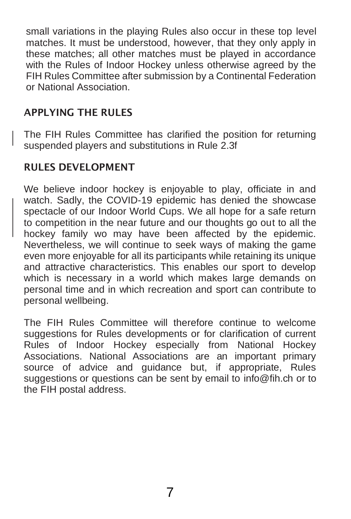small variations in the playing Rules also occur in these top level matches. It must be understood, however, that they only apply in these matches; all other matches must be played in accordance with the Rules of Indoor Hockey unless otherwise agreed by the FIH Rules Committee after submission by a Continental Federation or National Association.

#### APPLYING THE RULES

The FIH Rules Committee has clarified the position for returning suspended players and substitutions in Rule 2.3f

#### RULES DEVELOPMENT

We believe indoor hockey is enjoyable to play, officiate in and watch. Sadly, the COVID-19 epidemic has denied the showcase spectacle of our Indoor World Cups. We all hope for a safe return to competition in the near future and our thoughts go out to all the hockey family wo may have been affected by the epidemic. Nevertheless, we will continue to seek ways of making the game even more enjoyable for all its participants while retaining its unique and attractive characteristics. This enables our sport to develop which is necessary in a world which makes large demands on personal time and in which recreation and sport can contribute to personal wellbeing.

The FIH Rules Committee will therefore continue to welcome suggestions for Rules developments or for clarification of current Rules of Indoor Hockey especially from National Hockey Associations. National Associations are an important primary source of advice and quidance but, if appropriate. Rules suggestions or questions can be sent by email t[o info@fih.ch](mailto:info@fih.ch) or to the FIH postal address.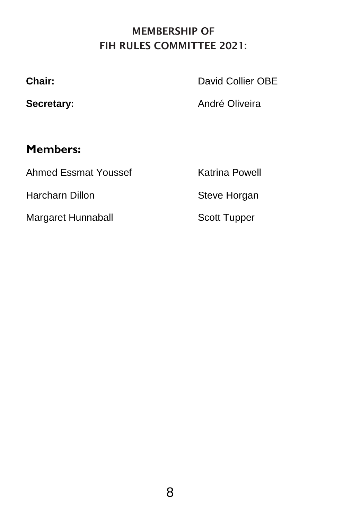## MEMBERSHIP OF FIH RULES COMMITTEE 2021:

**Chair:** David Collier OBE

Secretary: **André Oliveira** 

## **Members:**

Ahmed Essmat Youssef Katrina Powell

Harcharn Dillon Steve Horgan

Margaret Hunnaball Scott Tupper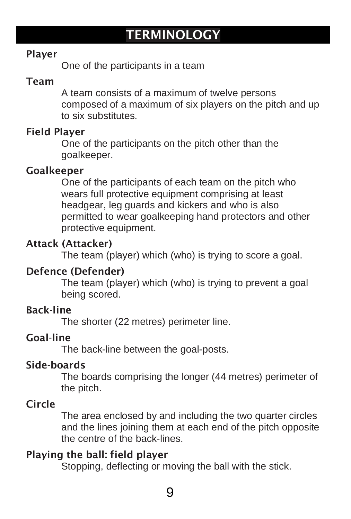#### Player

One of the participants in a team

#### Team

A team consists of a maximum of twelve persons composed of a maximum of six players on the pitch and up to six substitutes.

#### Field Player

One of the participants on the pitch other than the goalkeeper.

#### Goalkeeper

One of the participants of each team on the pitch who wears full protective equipment comprising at least headgear, leg guards and kickers and who is also permitted to wear goalkeeping hand protectors and other protective equipment.

#### Attack (Attacker)

The team (player) which (who) is trying to score a goal.

#### Defence (Defender)

The team (player) which (who) is trying to prevent a goal being scored.

#### Back-line

The shorter (22 metres) perimeter line.

#### Goal-line

The back-line between the goal-posts.

#### Side-boards

The boards comprising the longer (44 metres) perimeter of the pitch.

#### Circle

The area enclosed by and including the two quarter circles and the lines joining them at each end of the pitch opposite the centre of the back-lines.

#### Playing the ball: field player

Stopping, deflecting or moving the ball with the stick.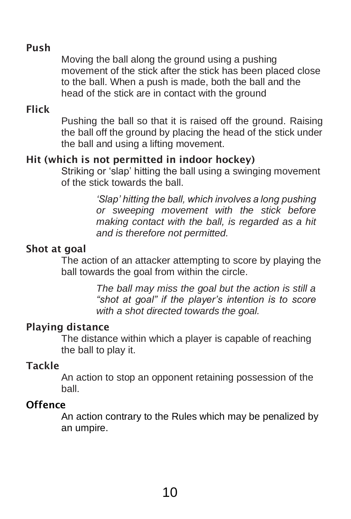#### Push

Moving the ball along the ground using a pushing movement of the stick after the stick has been placed close to the ball. When a push is made, both the ball and the head of the stick are in contact with the ground

#### Flick

Pushing the ball so that it is raised off the ground. Raising the ball off the ground by placing the head of the stick under the ball and using a lifting movement.

#### Hit (which is not permitted in indoor hockey)

Striking or 'slap' hitting the ball using a swinging movement of the stick towards the ball.

> *'Slap' hitting the ball, which involves a long pushing or sweeping movement with the stick before making contact with the ball, is regarded as a hit and is therefore not permitted.*

#### Shot at goal

The action of an attacker attempting to score by playing the ball towards the goal from within the circle.

> *The ball may miss the goal but the action is still a "shot at goal" if the player's intention is to score with a shot directed towards the goal.*

#### Playing distance

The distance within which a player is capable of reaching the ball to play it.

#### Tackle

An action to stop an opponent retaining possession of the ball.

#### **Offence**

An action contrary to the Rules which may be penalized by an umpire.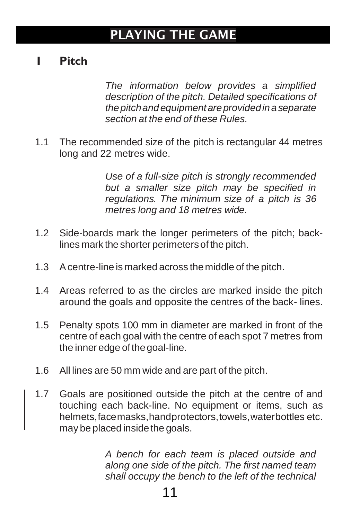## PLAYING THE GAME

## <span id="page-10-0"></span>**1 Pitch**

*The information below provides a simplified description of the pitch. Detailed specifications of thepitchandequipmentareprovidedinaseparate section at the end of these Rules.*

1.1 The recommended size of the pitch is rectangular 44 metres long and 22 metres wide.

> *Use of a full-size pitch is strongly recommended but a smaller size pitch may be specified in regulations. The minimum size of a pitch is 36 metres long and 18 metres wide.*

- 1.2 Side-boards mark the longer perimeters of the pitch; backlines mark the shorter perimetersof the pitch.
- 1.3 Acentre-line is marked across themiddle of the pitch.
- 1.4 Areas referred to as the circles are marked inside the pitch around the goals and opposite the centres of the back- lines.
- 1.5 Penalty spots 100 mm in diameter are marked in front of the centre of each goal with the centre of each spot 7 metres from the inner edge of the goal-line.
- 1.6 All lines are 50 mm wide and are part of the pitch.
- <span id="page-10-1"></span>1.7 Goals are positioned outside the pitch at the centre of and touching each back-line. No equipment or items, such as helmets,facemasks,handprotectors,towels,waterbottles etc. may be placed inside the goals.

*A bench for each team is placed outside and along one side of the pitch. The first named team shall occupy the bench to the left of the technical*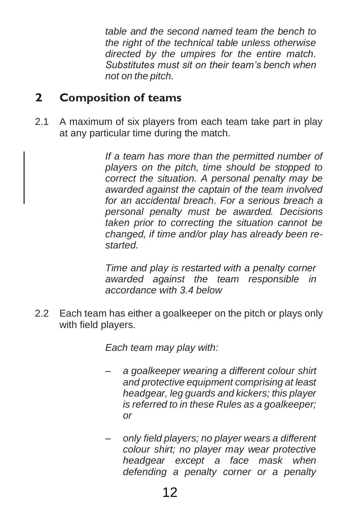*table and the second named team the bench to the right of the technical table unless otherwise directed by the umpires for the entire match. Substitutes must sit on their team's bench when not on the pitch.*

## **2 Composition of teams**

2.1 A maximum of six players from each team take part in play at any particular time during the match.

> *If a team has more than the permitted number of players on the pitch, time should be stopped to correct the situation. A personal penalty may be awarded against the captain of the team involved for an accidental breach. For a serious breach a personal penalty must be awarded. Decisions taken prior to correcting the situation cannot be changed, if time and/or play has already been restarted.*

*Time and play is restarted with a penalty corner awarded against the team responsible in accordance with 3.4 below*

2.2 Each team has either a goalkeeper on the pitch or plays only with field players.

*Each team may play with:*

- *– a goalkeeper wearing a different colour shirt and protective equipment comprising at least headgear, leg guards and kickers; this player is referred to in these Rules as a goalkeeper; or*
- *– only field players; no player wears a different colour shirt; no player may wear protective headgear except a face mask when defending a penalty corner or a penalty*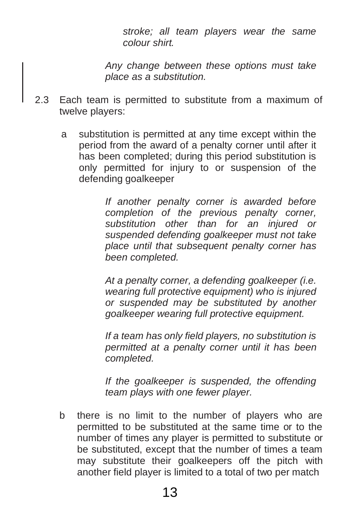*stroke; all team players wear the same colour shirt.*

*Any change between these options must take place as a substitution.*

- 2.3 Each team is permitted to substitute from a maximum of twelve players:
	- a substitution is permitted at any time except within the period from the award of a penalty corner until after it has been completed; during this period substitution is only permitted for injury to or suspension of the defending goalkeeper

*If another penalty corner is awarded before completion of the previous penalty corner, substitution other than for an injured or suspended defending goalkeeper must not take place until that subsequent penalty corner has been completed.*

*At a penalty corner, a defending goalkeeper (i.e. wearing full protective equipment) who is injured or suspended may be substituted by another goalkeeper wearing full protective equipment.*

*If a team has only field players, no substitution is permitted at a penalty corner until it has been completed.*

*If the goalkeeper is suspended, the offending team plays with one fewer player.*

b there is no limit to the number of players who are permitted to be substituted at the same time or to the number of times any player is permitted to substitute or be substituted, except that the number of times a team may substitute their goalkeepers off the pitch with another field player is limited to a total of two per match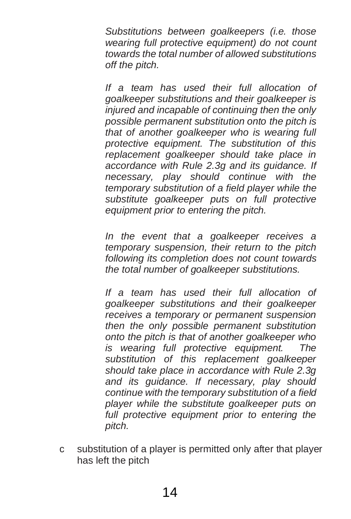*Substitutions between goalkeepers (i.e. those wearing full protective equipment) do not count towards the total number of allowed substitutions off the pitch.*

*If a team has used their full allocation of goalkeeper substitutions and their goalkeeper is injured and incapable of continuing then the only possible permanent substitution onto the pitch is that of another goalkeeper who is wearing full protective equipment. The substitution of this replacement goalkeeper should take place in accordance with Rule 2.3g and its guidance. If necessary, play should continue with the temporary substitution of a field player while the substitute goalkeeper puts on full protective equipment prior to entering the pitch.*

*In the event that a goalkeeper receives a temporary suspension, their return to the pitch following its completion does not count towards the total number of goalkeeper substitutions.*

*If a team has used their full allocation of goalkeeper substitutions and their goalkeeper receives a temporary or permanent suspension then the only possible permanent substitution onto the pitch is that of another goalkeeper who is wearing full protective equipment. The substitution of this replacement goalkeeper should take place in accordance with Rule 2.3g and its guidance. If necessary, play should continue with the temporary substitution of a field player while the substitute goalkeeper puts on full protective equipment prior to entering the pitch.*

c substitution of a player is permitted only after that player has left the pitch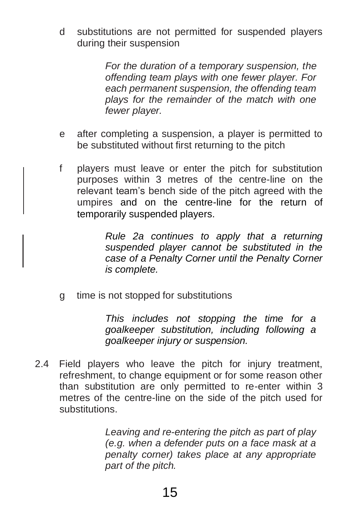d substitutions are not permitted for suspended players during their suspension

> *For the duration of a temporary suspension, the offending team plays with one fewer player. For each permanent suspension, the offending team plays for the remainder of the match with one fewer player.*

- e after completing a suspension, a player is permitted to be substituted without first returning to the pitch
- f players must leave or enter the pitch for substitution purposes within 3 metres of the centre-line on the relevant team's bench side of the pitch agreed with the umpires and on the centre-line for the return of temporarily suspended players.

*Rule 2a continues to apply that a returning suspended player cannot be substituted in the case of a Penalty Corner until the Penalty Corner is complete.* 

<span id="page-14-0"></span>g time is not stopped for substitutions

*This includes not stopping the time for a goalkeeper substitution, including following a goalkeeper injury or suspension.*

2.4 Field players who leave the pitch for injury treatment, refreshment, to change equipment or for some reason other than substitution are only permitted to re-enter within 3 metres of the centre-line on the side of the pitch used for substitutions.

> *Leaving and re-entering the pitch as part of play (e.g. when a defender puts on a face mask at a penalty corner) takes place at any appropriate part of the pitch.*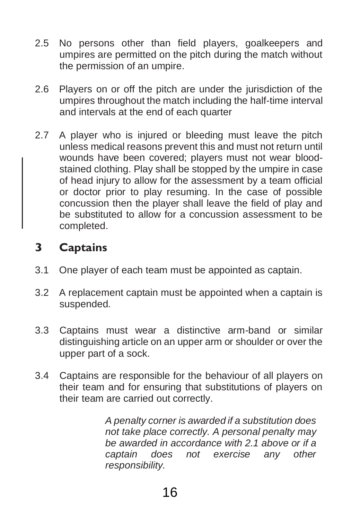- 2.5 No persons other than field players, goalkeepers and umpires are permitted on the pitch during the match without the permission of an umpire.
- 2.6 Players on or off the pitch are under the jurisdiction of the umpires throughout the match including the half-time interval and intervals at the end of each quarter
- 2.7 A player who is injured or bleeding must leave the pitch unless medical reasons prevent this and must not return until wounds have been covered; players must not wear bloodstained clothing. Play shall be stopped by the umpire in case of head injury to allow for the assessment by a team official or doctor prior to play resuming. In the case of possible concussion then the player shall leave the field of play and be substituted to allow for a concussion assessment to be completed.

## **3 Captains**

- 3.1 One player of each team must be appointed as captain.
- 3.2 A replacement captain must be appointed when a captain is suspended.
- <span id="page-15-0"></span>3.3 Captains must wear a distinctive arm-band or similar distinguishing article on an upper arm or shoulder or over the upper part of a sock.
- 3.4 Captains are responsible for the behaviour of all players on their team and for ensuring that substitutions of players on their team are carried out correctly.

*A penalty corner is awarded if a substitution does not take place correctly. A personal penalty may be awarded in accordance with 2.1 above or if a captain does not exercise any other responsibility.*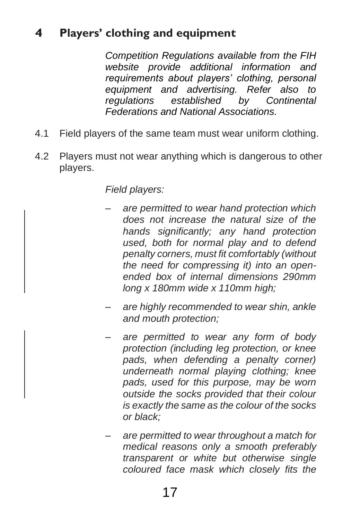## **4 Players' clothing and equipment**

*Competition Regulations available from the FIH website provide additional information and requirements about players' clothing, personal equipment and advertising. Refer also to regulations established by Continental Federations and National Associations.*

- 4.1 Field players of the same team must wear uniform clothing.
- 4.2 Players must not wear anything which is dangerous to other players.

#### *Field players:*

- *– are permitted to wear hand protection which does not increase the natural size of the hands significantly; any hand protection used, both for normal play and to defend penalty corners, must fit comfortably (without the need for compressing it) into an openended box of internal dimensions 290mm long x 180mm wide x 110mm high;*
- *– are highly recommended to wear shin, ankle and mouth protection;*
- *– are permitted to wear any form of body protection (including leg protection, or knee pads, when defending a penalty corner) underneath normal playing clothing; knee pads, used for this purpose, may be worn outside the socks provided that their colour is exactly the same as the colour of the socks or black;*
- *– are permitted to wear throughout a match for medical reasons only a smooth preferably transparent or white but otherwise single coloured face mask which closely fits the*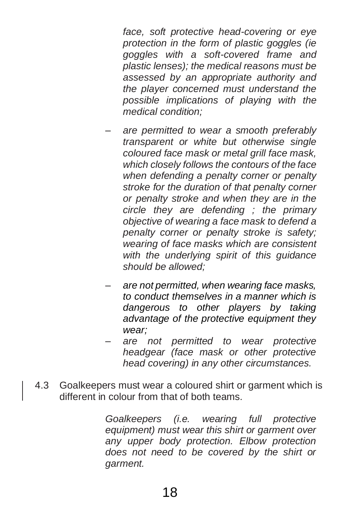*face, soft protective head-covering or eye protection in the form of plastic goggles (ie goggles with a soft-covered frame and plastic lenses); the medical reasons must be assessed by an appropriate authority and the player concerned must understand the possible implications of playing with the medical condition;*

- *– are permitted to wear a smooth preferably transparent or white but otherwise single coloured face mask or metal grill face mask, which closely follows the contours of the face when defending a penalty corner or penalty stroke for the duration of that penalty corner or penalty stroke and when they are in the circle they are defending ; the primary objective of wearing a face mask to defend a penalty corner or penalty stroke is safety; wearing of face masks which are consistent with the underlying spirit of this guidance should be allowed;*
- *– are not permitted, when wearing face masks, to conduct themselves in a manner which is dangerous to other players by taking advantage of the protective equipment they wear;*
- *– are not permitted to wear protective headgear (face mask or other protective head covering) in any other circumstances.*
- 4.3 Goalkeepers must wear a coloured shirt or garment which is different in colour from that of both teams.

*Goalkeepers (i.e. wearing full protective equipment) must wear this shirt or garment over any upper body protection. Elbow protection does not need to be covered by the shirt or garment.*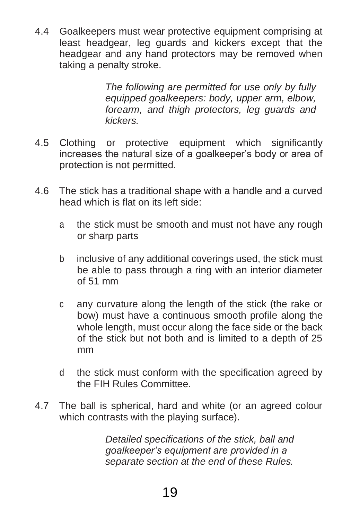4.4 Goalkeepers must wear protective equipment comprising at least headgear, leg guards and kickers except that the headgear and any hand protectors may be removed when taking a penalty stroke.

> <span id="page-18-0"></span>*The following are permitted for use only by fully equipped goalkeepers: body, upper arm, elbow, forearm, and thigh protectors, leg guards and kickers.*

- 4.5 Clothing or protective equipment which significantly increases the natural size of a goalkeeper's body or area of protection is not permitted.
- 4.6 The stick has a traditional shape with a handle and a curved head which is flat on its left side:
	- a the stick must be smooth and must not have any rough or sharp parts
	- b inclusive of any additional coverings used, the stick must be able to pass through a ring with an interior diameter of 51 mm
	- c any curvature along the length of the stick (the rake or bow) must have a continuous smooth profile along the whole length, must occur along the face side or the back of the stick but not both and is limited to a depth of 25 mm
	- d the stick must conform with the specification agreed by the FIH Rules Committee.
- 4.7 The ball is spherical, hard and white (or an agreed colour which contrasts with the playing surface).

*Detailed specifications of the stick, ball and goalkeeper's equipment are provided in a separate section at the end of these Rules.*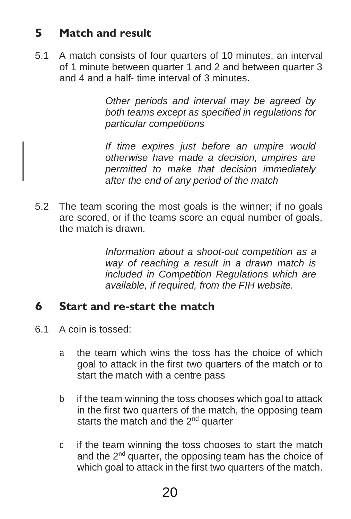## **5 Match and result**

5.1 A match consists of four quarters of 10 minutes, an interval of 1 minute between quarter 1 and 2 and between quarter 3 and 4 and a half- time interval of 3 minutes.

> *Other periods and interval may be agreed by both teams except as specified in regulations for particular competitions*

> *If time expires just before an umpire would otherwise have made a decision, umpires are permitted to make that decision immediately after the end of any period of the match*

5.2 The team scoring the most goals is the winner; if no goals are scored, or if the teams score an equal number of goals, the match is drawn.

> *Information about a shoot-out competition as a way of reaching a result in a drawn match is included in Competition Regulations which are available, if required, from the FIH website.*

## **6 Start and re-start the match**

- 6.1 A coin is tossed:
	- a the team which wins the toss has the choice of which goal to attack in the first two quarters of the match or to start the match with a centre pass
	- b if the team winning the toss chooses which goal to attack in the first two quarters of the match, the opposing team starts the match and the 2<sup>nd</sup> quarter
	- c if the team winning the toss chooses to start the match and the 2<sup>nd</sup> quarter, the opposing team has the choice of which goal to attack in the first two quarters of the match.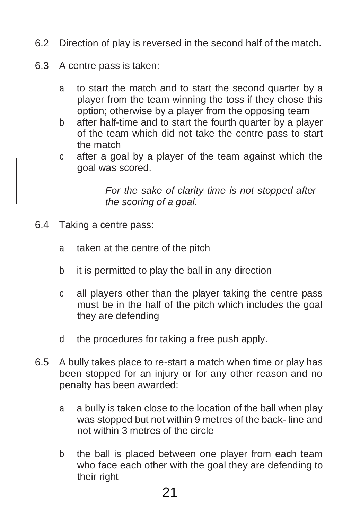- 6.2 Direction of play is reversed in the second half of the match.
- 6.3 A centre pass is taken:
	- a to start the match and to start the second quarter by a player from the team winning the toss if they chose this option; otherwise by a player from the opposing team
	- b after half-time and to start the fourth quarter by a player of the team which did not take the centre pass to start the match
	- c after a goal by a player of the team against which the goal was scored.

*For the sake of clarity time is not stopped after the scoring of a goal.*

- <span id="page-20-0"></span>6.4 Taking a centre pass:
	- a taken at the centre of the pitch
	- b it is permitted to play the ball in any direction
	- c all players other than the player taking the centre pass must be in the half of the pitch which includes the goal they are defending
	- d the procedures for taking a free push apply.
- 6.5 A bully takes place to re-start a match when time or play has been stopped for an injury or for any other reason and no penalty has been awarded:
	- a a bully is taken close to the location of the ball when play was stopped but not within 9 metres of the back- line and not within 3 metres of the circle
	- b the ball is placed between one player from each team who face each other with the goal they are defending to their right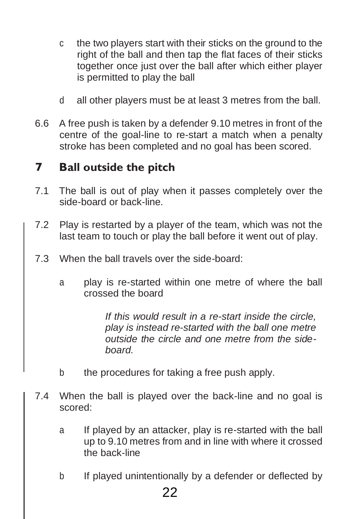- c the two players start with their sticks on the ground to the right of the ball and then tap the flat faces of their sticks together once just over the ball after which either player is permitted to play the ball
- d all other players must be at least 3 metres from the ball.
- 6.6 A free push is taken by a defender 9.10 metres in front of the centre of the goal-line to re-start a match when a penalty stroke has been completed and no goal has been scored.

## **7 Ball outside the pitch**

- 7.1 The ball is out of play when it passes completely over the side-board or back-line.
- <span id="page-21-0"></span>7.2 Play is restarted by a player of the team, which was not the last team to touch or play the ball before it went out of play.
- 7.3 When the ball travels over the side-board:
	- a play is re-started within one metre of where the ball crossed the board

*If this would result in a re-start inside the circle, play is instead re-started with the ball one metre outside the circle and one metre from the sideboard.*

- b the procedures for taking a free push apply.
- 7.4 When the ball is played over the back-line and no goal is scored:
	- a If played by an attacker, play is re-started with the ball up to 9.10 metres from and in line with where it crossed the back-line
	- b If played unintentionally by a defender or deflected by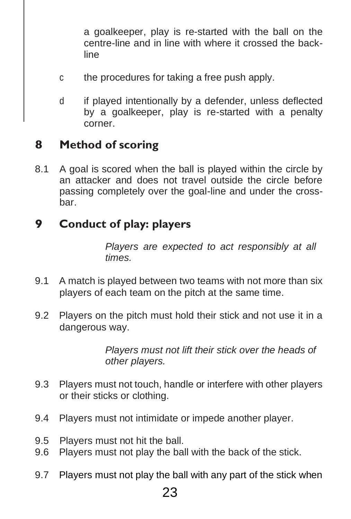a goalkeeper, play is re-started with the ball on the centre-line and in line with where it crossed the backline

- c the procedures for taking a free push apply.
- d if played intentionally by a defender, unless deflected by a goalkeeper, play is re-started with a penalty corner.

## **8 Method of scoring**

8.1 A goal is scored when the ball is played within the circle by an attacker and does not travel outside the circle before passing completely over the goal-line and under the crossbar.

## <span id="page-22-0"></span>**9 Conduct of play: players**

*Players are expected to act responsibly at all times.*

- 9.1 A match is played between two teams with not more than six players of each team on the pitch at the same time.
- 9.2 Players on the pitch must hold their stick and not use it in a dangerous way.

*Players must not lift their stick over the heads of other players.*

- 9.3 Players must not touch, handle or interfere with other players or their sticks or clothing.
- 9.4 Players must not intimidate or impede another player.
- 9.5 Players must not hit the ball.
- 9.6 Players must not play the ball with the back of the stick.
- 9.7 Players must not play the ball with any part of the stick when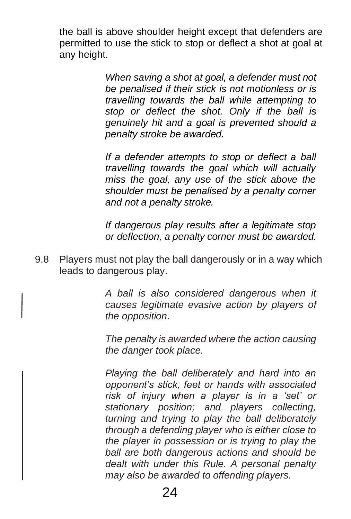the ball is above shoulder height except that defenders are permitted to use the stick to stop or deflect a shot at goal at any height.

> *When saving a shot at goal, a defender must not be penalised if their stick is not motionless or is travelling towards the ball while attempting to stop or deflect the shot. Only if the ball is genuinely hit and a goal is prevented should a penalty stroke be awarded.*

> *If a defender attempts to stop or deflect a ball travelling towards the goal which will actually miss the goal, any use of the stick above the shoulder must be penalised by a penalty corner and not a penalty stroke.*

> *If dangerous play results after a legitimate stop or deflection, a penalty corner must be awarded.*

9.8 Players must not play the ball dangerously or in a way which leads to dangerous play.

> *A ball is also considered dangerous when it causes legitimate evasive action by players of the opposition.*

> *The penalty is awarded where the action causing the danger took place.*

> *Playing the ball deliberately and hard into an opponent's stick, feet or hands with associated risk of injury when a player is in a 'set' or stationary position; and players collecting, turning and trying to play the ball deliberately through a defending player who is either close to the player in possession or is trying to play the ball are both dangerous actions and should be dealt with under this Rule. A personal penalty may also be awarded to offending players.*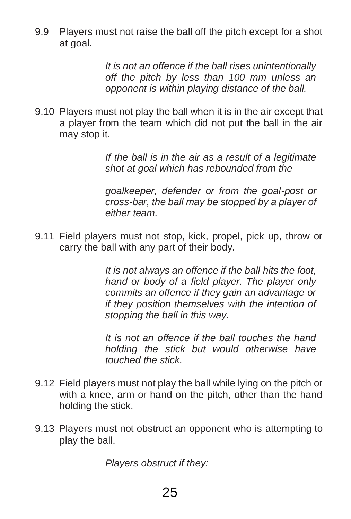9.9 Players must not raise the ball off the pitch except for a shot at goal.

> *It is not an offence if the ball rises unintentionally off the pitch by less than 100 mm unless an opponent is within playing distance of the ball.*

9.10 Players must not play the ball when it is in the air except that a player from the team which did not put the ball in the air may stop it.

> *If the ball is in the air as a result of a legitimate shot at goal which has rebounded from the*

> *goalkeeper, defender or from the goal-post or cross-bar, the ball may be stopped by a player of either team.*

9.11 Field players must not stop, kick, propel, pick up, throw or carry the ball with any part of their body.

> *It is not always an offence if the ball hits the foot, hand or body of a field player. The player only commits an offence if they gain an advantage or if they position themselves with the intention of stopping the ball in this way.*

> *It is not an offence if the ball touches the hand holding the stick but would otherwise have touched the stick.*

- 9.12 Field players must not play the ball while lying on the pitch or with a knee, arm or hand on the pitch, other than the hand holding the stick.
- 9.13 Players must not obstruct an opponent who is attempting to play the ball.

*Players obstruct if they:*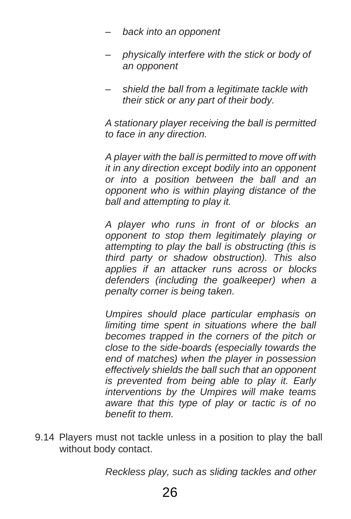- *– back into an opponent*
- *– physically interfere with the stick or body of an opponent*
- *– shield the ball from a legitimate tackle with their stick or any part of their body.*

*A stationary player receiving the ball is permitted to face in any direction.*

*A player with the ball is permitted to move off with it in any direction except bodily into an opponent or into a position between the ball and an opponent who is within playing distance of the ball and attempting to play it.*

*A player who runs in front of or blocks an opponent to stop them legitimately playing or attempting to play the ball is obstructing (this is third party or shadow obstruction). This also applies if an attacker runs across or blocks defenders (including the goalkeeper) when a penalty corner is being taken.*

*Umpires should place particular emphasis on limiting time spent in situations where the ball becomes trapped in the corners of the pitch or close to the side-boards (especially towards the end of matches) when the player in possession effectively shields the ball such that an opponent is prevented from being able to play it. Early interventions by the Umpires will make teams aware that this type of play or tactic is of no benefit to them.*

9.14 Players must not tackle unless in a position to play the ball without body contact.

*Reckless play, such as sliding tackles and other*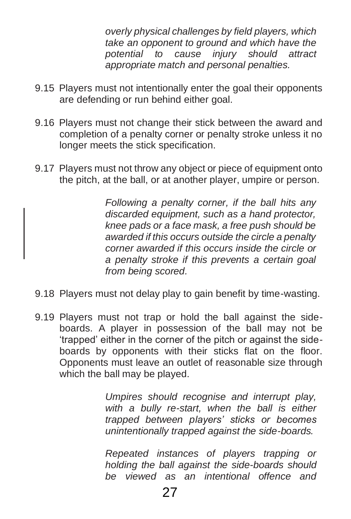*overly physical challenges by field players, which take an opponent to ground and which have the potential to cause injury should attract appropriate match and personal penalties.*

- 9.15 Players must not intentionally enter the goal their opponents are defending or run behind either goal.
- 9.16 Players must not change their stick between the award and completion of a penalty corner or penalty stroke unless it no longer meets the stick specification.
- 9.17 Players must not throw any object or piece of equipment onto the pitch, at the ball, or at another player, umpire or person.

<span id="page-26-0"></span>*Following a penalty corner, if the ball hits any discarded equipment, such as a hand protector, knee pads or a face mask, a free push should be awarded if this occurs outside the circle a penalty corner awarded if this occurs inside the circle or a penalty stroke if this prevents a certain goal from being scored.*

- 9.18 Players must not delay play to gain benefit by time-wasting.
- 9.19 Players must not trap or hold the ball against the sideboards. A player in possession of the ball may not be 'trapped' either in the corner of the pitch or against the sideboards by opponents with their sticks flat on the floor. Opponents must leave an outlet of reasonable size through which the ball may be played.

*Umpires should recognise and interrupt play, with a bully re-start, when the ball is either trapped between players' sticks or becomes unintentionally trapped against the side-boards.*

*Repeated instances of players trapping or holding the ball against the side-boards should be viewed as an intentional offence and*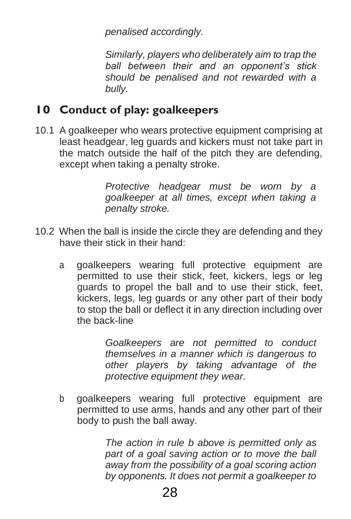*penalised accordingly.*

*Similarly, players who deliberately aim to trap the ball between their and an opponent's stick should be penalised and not rewarded with a bully.*

## **10 Conduct of play: goalkeepers**

10.1 A goalkeeper who wears protective equipment comprising at least headgear, leg guards and kickers must not take part in the match outside the half of the pitch they are defending, except when taking a penalty stroke.

> *Protective headgear must be worn by a goalkeeper at all times, except when taking a penalty stroke.*

- 10.2 When the ball is inside the circle they are defending and they have their stick in their hand:
	- a goalkeepers wearing full protective equipment are permitted to use their stick, feet, kickers, legs or leg guards to propel the ball and to use their stick, feet, kickers, legs, leg guards or any other part of their body to stop the ball or deflect it in any direction including over the back-line

*Goalkeepers are not permitted to conduct themselves in a manner which is dangerous to other players by taking advantage of the protective equipment they wear.*

b goalkeepers wearing full protective equipment are permitted to use arms, hands and any other part of their body to push the ball away.

> *The action in rule b above is permitted only as part of a goal saving action or to move the ball away from the possibility of a goal scoring action by opponents. It does not permit a goalkeeper to*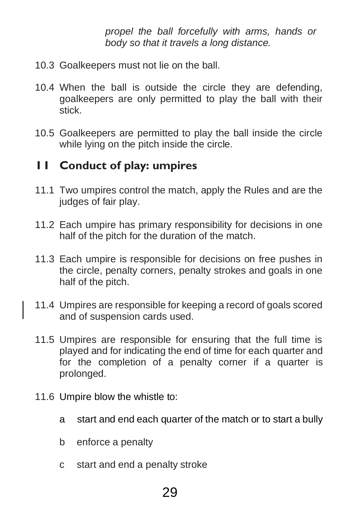<span id="page-28-0"></span>*propel the ball forcefully with arms, hands or body so that it travels a long distance.*

- 10.3 Goalkeepers must not lie on the ball.
- 10.4 When the ball is outside the circle they are defending, goalkeepers are only permitted to play the ball with their stick.
- 10.5 Goalkeepers are permitted to play the ball inside the circle while lying on the pitch inside the circle.

## **11 Conduct of play: umpires**

- 11.1 Two umpires control the match, apply the Rules and are the judges of fair play.
- 11.2 Each umpire has primary responsibility for decisions in one half of the pitch for the duration of the match.
- 11.3 Each umpire is responsible for decisions on free pushes in the circle, penalty corners, penalty strokes and goals in one half of the pitch.
- 11.4 Umpires are responsible for keeping a record of goals scored and of suspension cards used.
- 11.5 Umpires are responsible for ensuring that the full time is played and for indicating the end of time for each quarter and for the completion of a penalty corner if a quarter is prolonged.
- <span id="page-28-1"></span>11.6 Umpire blow the whistle to:
	- a start and end each quarter of the match or to start a bully
	- b enforce a penalty
	- c start and end a penalty stroke

## 29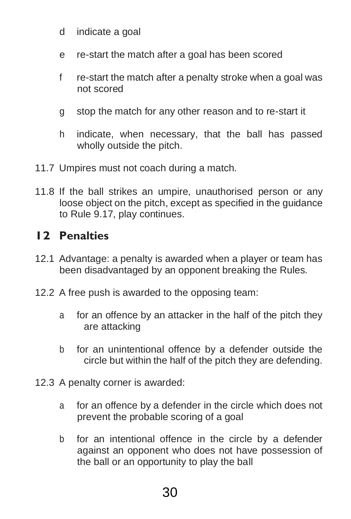- d indicate a goal
- e re-start the match after a goal has been scored
- f re-start the match after a penalty stroke when a goal was not scored
- g stop the match for any other reason and to re-start it
- h indicate, when necessary, that the ball has passed wholly outside the pitch.
- 11.7 Umpires must not coach during a match.
- 11.8 If the ball strikes an umpire, unauthorised person or any loose object on the pitch, except as specified in the guidance to Rule 9.17, play continues.

## **12 Penalties**

- 12.1 Advantage: a penalty is awarded when a player or team has been disadvantaged by an opponent breaking the Rules.
- 12.2 A free push is awarded to the opposing team:
	- a for an offence by an attacker in the half of the pitch they are attacking
	- b for an unintentional offence by a defender outside the circle but within the half of the pitch they are defending.
- 12.3 A penalty corner is awarded:
	- a for an offence by a defender in the circle which does not prevent the probable scoring of a goal
	- b for an intentional offence in the circle by a defender against an opponent who does not have possession of the ball or an opportunity to play the ball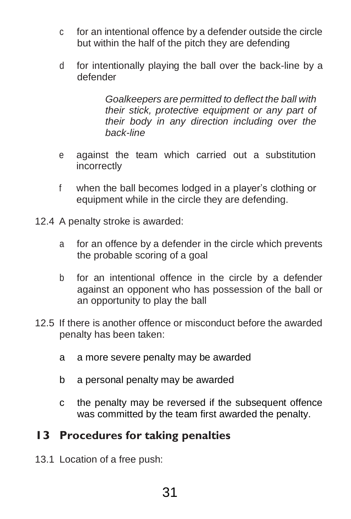- c for an intentional offence by a defender outside the circle but within the half of the pitch they are defending
- d for intentionally playing the ball over the back-line by a defender

*Goalkeepers are permitted to deflect the ball with their stick, protective equipment or any part of their body in any direction including over the back-line*

- e against the team which carried out a substitution incorrectly
- f when the ball becomes lodged in a player's clothing or equipment while in the circle they are defending.
- 12.4 A penalty stroke is awarded:
	- a for an offence by a defender in the circle which prevents the probable scoring of a goal
	- b for an intentional offence in the circle by a defender against an opponent who has possession of the ball or an opportunity to play the ball
- <span id="page-30-0"></span>12.5 If there is another offence or misconduct before the awarded penalty has been taken:
	- a a more severe penalty may be awarded
	- b a personal penalty may be awarded
	- c the penalty may be reversed if the subsequent offence was committed by the team first awarded the penalty.

#### **13 Procedures for taking penalties**

13.1 Location of a free push: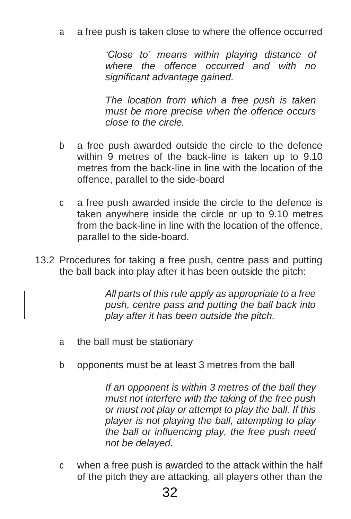a a free push is taken close to where the offence occurred

*'Close to' means within playing distance of where the offence occurred and with no significant advantage gained.*

*The location from which a free push is taken must be more precise when the offence occurs close to the circle.*

- b a free push awarded outside the circle to the defence within 9 metres of the back-line is taken up to 9.10 metres from the back-line in line with the location of the offence, parallel to the side-board
- c a free push awarded inside the circle to the defence is taken anywhere inside the circle or up to 9.10 metres from the back-line in line with the location of the offence, parallel to the side-board.
- 13.2 Procedures for taking a free push, centre pass and putting the ball back into play after it has been outside the pitch:

*All parts of this rule apply as appropriate to a free push, centre pass and putting the ball back into play after it has been outside the pitch.*

- a the ball must be stationary
- b opponents must be at least 3 metres from the ball

*If an opponent is within 3 metres of the ball they must not interfere with the taking of the free push or must not play or attempt to play the ball. If this player is not playing the ball, attempting to play the ball or influencing play, the free push need not be delayed.*

c when a free push is awarded to the attack within the half of the pitch they are attacking, all players other than the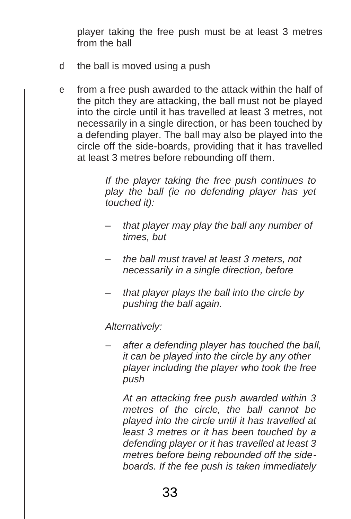player taking the free push must be at least 3 metres from the ball

- d the ball is moved using a push
- e from a free push awarded to the attack within the half of the pitch they are attacking, the ball must not be played into the circle until it has travelled at least 3 metres, not necessarily in a single direction, or has been touched by a defending player. The ball may also be played into the circle off the side-boards, providing that it has travelled at least 3 metres before rebounding off them.

*If the player taking the free push continues to play the ball (ie no defending player has yet touched it):*

- *– that player may play the ball any number of times, but*
- *– the ball must travel at least 3 meters, not necessarily in a single direction, before*
- *– that player plays the ball into the circle by pushing the ball again.*

*Alternatively:*

*– after a defending player has touched the ball, it can be played into the circle by any other player including the player who took the free push*

*At an attacking free push awarded within 3 metres of the circle, the ball cannot be played into the circle until it has travelled at least 3 metres or it has been touched by a defending player or it has travelled at least 3 metres before being rebounded off the sideboards. If the fee push is taken immediately*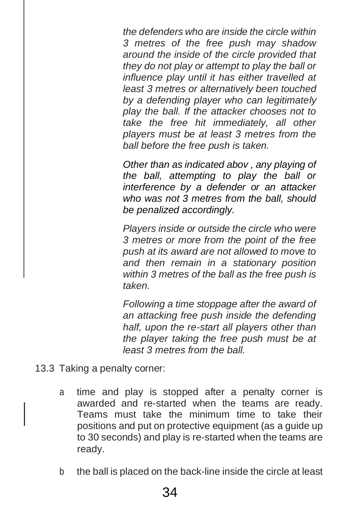*the defenders who are inside the circle within 3 metres of the free push may shadow around the inside of the circle provided that they do not play or attempt to play the ball or influence play until it has either travelled at least 3 metres or alternatively been touched by a defending player who can legitimately play the ball. If the attacker chooses not to take the free hit immediately, all other players must be at least 3 metres from the ball before the free push is taken.*

*Other than as indicated abov , any playing of the ball, attempting to play the ball or interference by a defender or an attacker who was not 3 metres from the ball, should be penalized accordingly.*

*Players inside or outside the circle who were 3 metres or more from the point of the free push at its award are not allowed to move to and then remain in a stationary position within 3 metres of the ball as the free push is taken.*

*Following a time stoppage after the award of an attacking free push inside the defending half, upon the re-start all players other than the player taking the free push must be at least 3 metres from the ball.*

- 13.3 Taking a penalty corner:
	- a time and play is stopped after a penalty corner is awarded and re-started when the teams are ready. Teams must take the minimum time to take their positions and put on protective equipment (as a guide up to 30 seconds) and play is re-started when the teams are ready.
	- b the ball is placed on the back-line inside the circle at least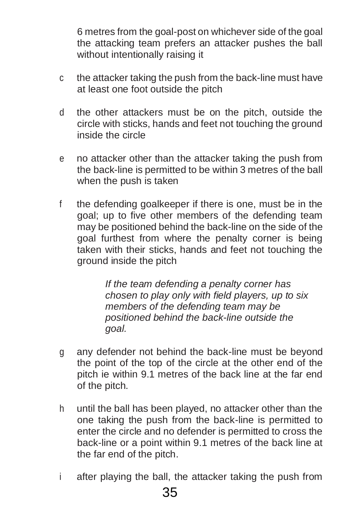6 metres from the goal-post on whichever side of the goal the attacking team prefers an attacker pushes the ball without intentionally raising it

- c the attacker taking the push from the back-line must have at least one foot outside the pitch
- d the other attackers must be on the pitch, outside the circle with sticks, hands and feet not touching the ground inside the circle
- e no attacker other than the attacker taking the push from the back-line is permitted to be within 3 metres of the ball when the push is taken
- f the defending goalkeeper if there is one, must be in the goal; up to five other members of the defending team may be positioned behind the back-line on the side of the goal furthest from where the penalty corner is being taken with their sticks, hands and feet not touching the ground inside the pitch

*If the team defending a penalty corner has chosen to play only with field players, up to six members of the defending team may be positioned behind the back-line outside the goal.* 

- g any defender not behind the back-line must be beyond the point of the top of the circle at the other end of the pitch ie within 9.1 metres of the back line at the far end of the pitch.
- h until the ball has been played, no attacker other than the one taking the push from the back-line is permitted to enter the circle and no defender is permitted to cross the back-line or a point within 9.1 metres of the back line at the far end of the pitch.
- i after playing the ball, the attacker taking the push from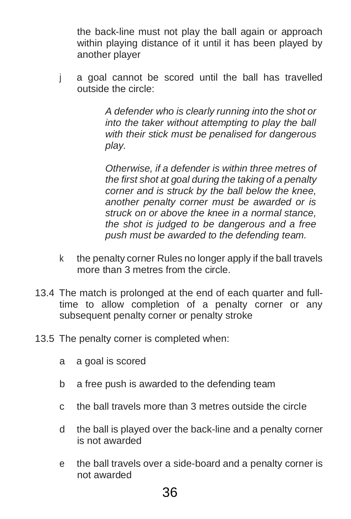the back-line must not play the ball again or approach within playing distance of it until it has been played by another player

j a goal cannot be scored until the ball has travelled outside the circle:

> *A defender who is clearly running into the shot or into the taker without attempting to play the ball with their stick must be penalised for dangerous play.*

> *Otherwise, if a defender is within three metres of the first shot at goal during the taking of a penalty corner and is struck by the ball below the knee, another penalty corner must be awarded or is struck on or above the knee in a normal stance, the shot is judged to be dangerous and a free push must be awarded to the defending team.*

- k the penalty corner Rules no longer apply if the ball travels more than 3 metres from the circle.
- 13.4 The match is prolonged at the end of each quarter and fulltime to allow completion of a penalty corner or any subsequent penalty corner or penalty stroke
- 13.5 The penalty corner is completed when:
	- a a goal is scored
	- b a free push is awarded to the defending team
	- c the ball travels more than 3 metres outside the circle
	- d the ball is played over the back-line and a penalty corner is not awarded
	- e the ball travels over a side-board and a penalty corner is not awarded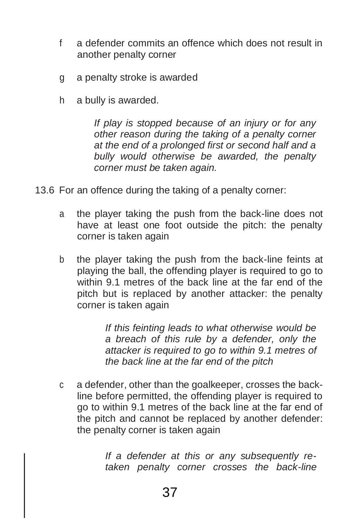- f a defender commits an offence which does not result in another penalty corner
- g a penalty stroke is awarded
- h a bully is awarded.

*If play is stopped because of an injury or for any other reason during the taking of a penalty corner at the end of a prolonged first or second half and a bully would otherwise be awarded, the penalty corner must be taken again.*

- 13.6 For an offence during the taking of a penalty corner:
	- a the player taking the push from the back-line does not have at least one foot outside the pitch: the penalty corner is taken again
	- b the player taking the push from the back-line feints at playing the ball, the offending player is required to go to within 9.1 metres of the back line at the far end of the pitch but is replaced by another attacker: the penalty corner is taken again

*If this feinting leads to what otherwise would be a breach of this rule by a defender, only the attacker is required to go to within 9.1 metres of the back line at the far end of the pitch*

c a defender, other than the goalkeeper, crosses the backline before permitted, the offending player is required to go to within 9.1 metres of the back line at the far end of the pitch and cannot be replaced by another defender: the penalty corner is taken again

> *If a defender at this or any subsequently retaken penalty corner crosses the back-line*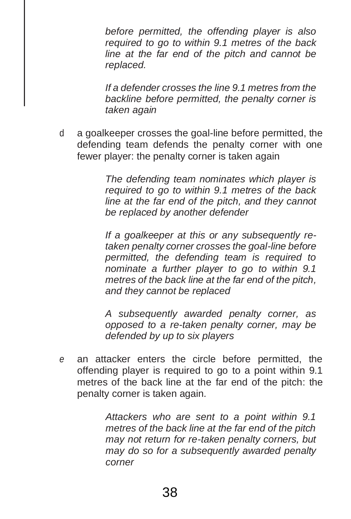*before permitted, the offending player is also required to go to within 9.1 metres of the back line at the far end of the pitch and cannot be replaced.*

*If a defender crosses the line 9.1 metres from the backline before permitted, the penalty corner is taken again*

d a goalkeeper crosses the goal-line before permitted, the defending team defends the penalty corner with one fewer player: the penalty corner is taken again

> *The defending team nominates which player is required to go to within 9.1 metres of the back line at the far end of the pitch, and they cannot be replaced by another defender*

> *If a goalkeeper at this or any subsequently retaken penalty corner crosses the goal-line before permitted, the defending team is required to nominate a further player to go to within 9.1 metres of the back line at the far end of the pitch, and they cannot be replaced*

> *A subsequently awarded penalty corner, as opposed to a re-taken penalty corner, may be defended by up to six players*

*e* an attacker enters the circle before permitted, the offending player is required to go to a point within 9.1 metres of the back line at the far end of the pitch: the penalty corner is taken again*.*

> *Attackers who are sent to a point within 9.1 metres of the back line at the far end of the pitch may not return for re-taken penalty corners, but may do so for a subsequently awarded penalty corner*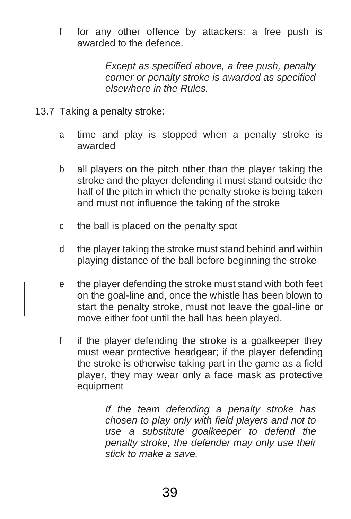f for any other offence by attackers: a free push is awarded to the defence.

> *Except as specified above, a free push, penalty corner or penalty stroke is awarded as specified elsewhere in the Rules.*

- 13.7 Taking a penalty stroke:
	- a time and play is stopped when a penalty stroke is awarded
	- b all players on the pitch other than the player taking the stroke and the player defending it must stand outside the half of the pitch in which the penalty stroke is being taken and must not influence the taking of the stroke
	- c the ball is placed on the penalty spot
	- d the player taking the stroke must stand behind and within playing distance of the ball before beginning the stroke
	- e the player defending the stroke must stand with both feet on the goal-line and, once the whistle has been blown to start the penalty stroke, must not leave the goal-line or move either foot until the ball has been played.
	- f if the player defending the stroke is a goalkeeper they must wear protective headgear; if the player defending the stroke is otherwise taking part in the game as a field player, they may wear only a face mask as protective equipment

*If the team defending a penalty stroke has chosen to play only with field players and not to use a substitute goalkeeper to defend the penalty stroke, the defender may only use their stick to make a save.*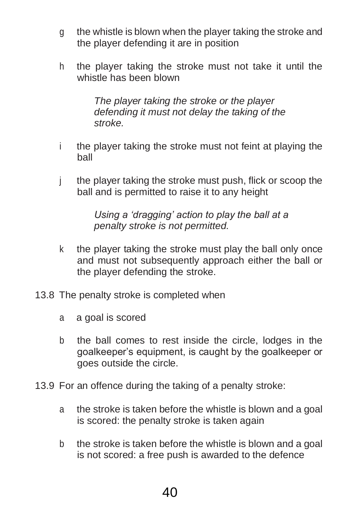- g the whistle is blown when the player taking the stroke and the player defending it are in position
- h the player taking the stroke must not take it until the whistle has been blown

*The player taking the stroke or the player defending it must not delay the taking of the stroke.*

- i the player taking the stroke must not feint at playing the ball
- j the player taking the stroke must push, flick or scoop the ball and is permitted to raise it to any height

*Using a 'dragging' action to play the ball at a penalty stroke is not permitted.*

- k the player taking the stroke must play the ball only once and must not subsequently approach either the ball or the player defending the stroke.
- 13.8 The penalty stroke is completed when
	- a a goal is scored
	- b the ball comes to rest inside the circle, lodges in the goalkeeper's equipment, is caught by the goalkeeper or goes outside the circle.
- 13.9 For an offence during the taking of a penalty stroke:
	- a the stroke is taken before the whistle is blown and a goal is scored: the penalty stroke is taken again
	- b the stroke is taken before the whistle is blown and a goal is not scored: a free push is awarded to the defence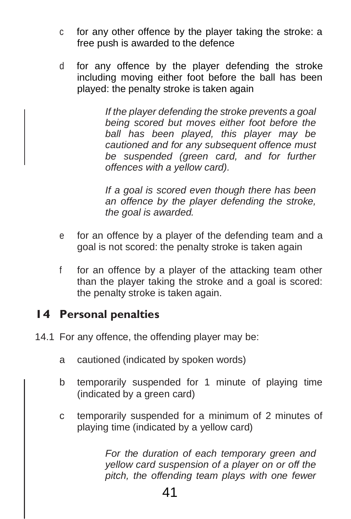- c for any other offence by the player taking the stroke: a free push is awarded to the defence
- <span id="page-40-0"></span>d for any offence by the player defending the stroke including moving either foot before the ball has been played: the penalty stroke is taken again

*If the player defending the stroke prevents a goal being scored but moves either foot before the ball has been played, this player may be cautioned and for any subsequent offence must be suspended (green card, and for further offences with a yellow card).*

*If a goal is scored even though there has been an offence by the player defending the stroke, the goal is awarded.*

- e for an offence by a player of the defending team and a goal is not scored: the penalty stroke is taken again
- f for an offence by a player of the attacking team other than the player taking the stroke and a goal is scored: the penalty stroke is taken again.

## **14 Personal penalties**

- 14.1 For any offence, the offending player may be:
	- a cautioned (indicated by spoken words)
	- b temporarily suspended for 1 minute of playing time (indicated by a green card)
	- c temporarily suspended for a minimum of 2 minutes of playing time (indicated by a yellow card)

*For the duration of each temporary green and yellow card suspension of a player on or off the pitch, the offending team plays with one fewer*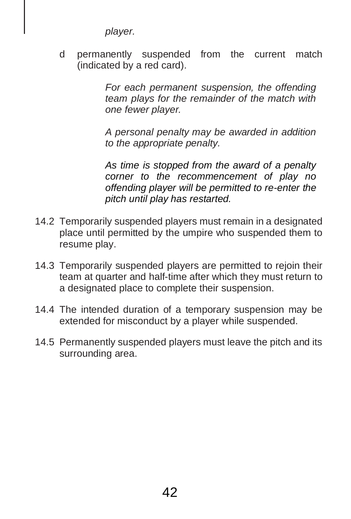*player.*

d permanently suspended from the current match (indicated by a red card).

> *For each permanent suspension, the offending team plays for the remainder of the match with one fewer player.*

> *A personal penalty may be awarded in addition to the appropriate penalty.*

> *As time is stopped from the award of a penalty corner to the recommencement of play no offending player will be permitted to re-enter the pitch until play has restarted.*

- 14.2 Temporarily suspended players must remain in a designated place until permitted by the umpire who suspended them to resume play.
- 14.3 Temporarily suspended players are permitted to rejoin their team at quarter and half-time after which they must return to a designated place to complete their suspension.
- 14.4 The intended duration of a temporary suspension may be extended for misconduct by a player while suspended.
- 14.5 Permanently suspended players must leave the pitch and its surrounding area.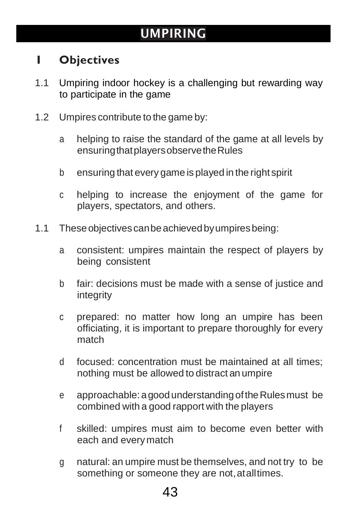## UMPIRING

## **1 Objectives**

- 1.1 Umpiring indoor hockey is a challenging but rewarding way to participate in the game
- 1.2 Umpires contribute to the game by:
	- a helping to raise the standard of the game at all levels by ensuringthatplayersobservetheRules
	- b ensuring that every game is played in the right spirit
	- c helping to increase the enjoyment of the game for players, spectators, and others.
- 1.1 These objectives can be achieved by umpires being:
	- a consistent: umpires maintain the respect of players by being consistent
	- b fair: decisions must be made with a sense of justice and integrity
	- c prepared: no matter how long an umpire has been officiating, it is important to prepare thoroughly for every match
	- d focused: concentration must be maintained at all times; nothing must be allowed to distract an umpire
	- e approachable: agoodunderstandingoftheRulesmust be combined with a good rapport with the players
	- f skilled: umpires must aim to become even better with each and everymatch
	- g natural: an umpire must be themselves, and not try to be something or someone they are not, at all times.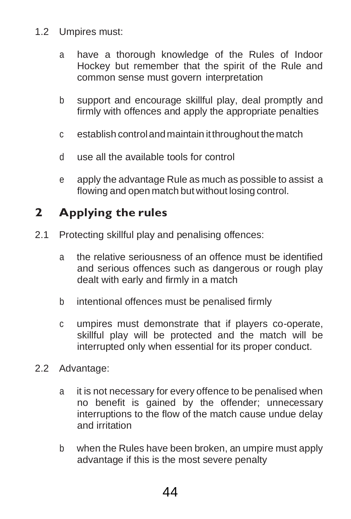- <span id="page-43-0"></span>1.2 Umpires must:
	- a have a thorough knowledge of the Rules of Indoor Hockey but remember that the spirit of the Rule and common sense must govern interpretation
	- b support and encourage skillful play, deal promptly and firmly with offences and apply the appropriate penalties
	- c establish controlandmaintain itthroughout thematch
	- d use all the available tools for control
	- e apply the advantage Rule as much as possible to assist a flowing and open match but without losing control.

## **2 Applying the rules**

- 2.1 Protecting skillful play and penalising offences:
	- a the relative seriousness of an offence must be identified and serious offences such as dangerous or rough play dealt with early and firmly in a match
	- b intentional offences must be penalised firmly
	- c umpires must demonstrate that if players co-operate, skillful play will be protected and the match will be interrupted only when essential for its proper conduct.
- 2.2 Advantage:
	- a it is not necessary for every offence to be penalised when no benefit is gained by the offender; unnecessary interruptions to the flow of the match cause undue delay and irritation
	- b when the Rules have been broken, an umpire must apply advantage if this is the most severe penalty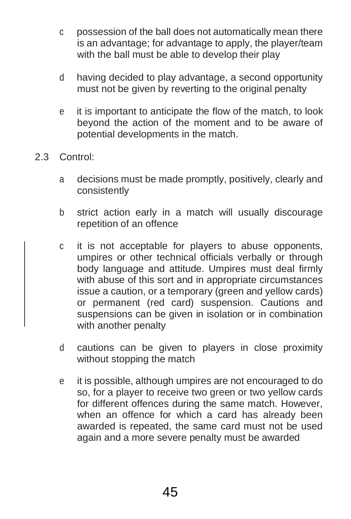- c possession of the ball does not automatically mean there is an advantage; for advantage to apply, the player/team with the ball must be able to develop their play
- d having decided to play advantage, a second opportunity must not be given by reverting to the original penalty
- e it is important to anticipate the flow of the match, to look beyond the action of the moment and to be aware of potential developments in the match.
- 2.3 Control:
	- a decisions must be made promptly, positively, clearly and consistently
	- b strict action early in a match will usually discourage repetition of an offence
	- c it is not acceptable for players to abuse opponents, umpires or other technical officials verbally or through body language and attitude. Umpires must deal firmly with abuse of this sort and in appropriate circumstances issue a caution, or a temporary (green and yellow cards) or permanent (red card) suspension. Cautions and suspensions can be given in isolation or in combination with another penalty
	- d cautions can be given to players in close proximity without stopping the match
	- e it is possible, although umpires are not encouraged to do so, for a player to receive two green or two yellow cards for different offences during the same match. However, when an offence for which a card has already been awarded is repeated, the same card must not be used again and a more severe penalty must be awarded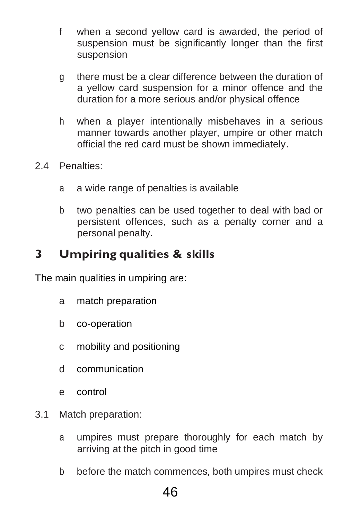- <span id="page-45-0"></span>f when a second yellow card is awarded, the period of suspension must be significantly longer than the first suspension
- g there must be a clear difference between the duration of a yellow card suspension for a minor offence and the duration for a more serious and/or physical offence
- h when a player intentionally misbehaves in a serious manner towards another player, umpire or other match official the red card must be shown immediately.
- 2.4 Penalties:
	- a a wide range of penalties is available
	- b two penalties can be used together to deal with bad or persistent offences, such as a penalty corner and a personal penalty.

## **3 Umpiring qualities & skills**

The main qualities in umpiring are:

- a match preparation
- b co-operation
- c mobility and positioning
- d communication
- e control
- 3.1 Match preparation:
	- a umpires must prepare thoroughly for each match by arriving at the pitch in good time
	- b before the match commences, both umpires must check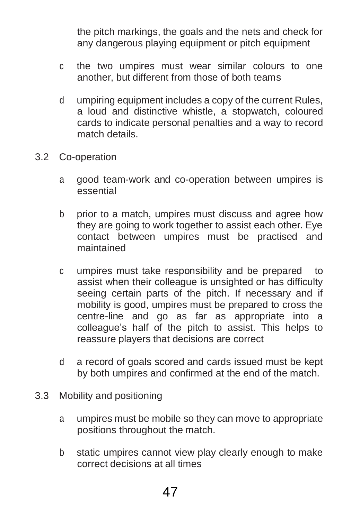the pitch markings, the goals and the nets and check for any dangerous playing equipment or pitch equipment

- c the two umpires must wear similar colours to one another, but different from those of both teams
- d umpiring equipment includes a copy of the current Rules, a loud and distinctive whistle, a stopwatch, coloured cards to indicate personal penalties and a way to record match details.
- 3.2 Co-operation
	- a good team-work and co-operation between umpires is essential
	- b prior to a match, umpires must discuss and agree how they are going to work together to assist each other. Eye contact between umpires must be practised and maintained
	- c umpires must take responsibility and be prepared to assist when their colleague is unsighted or has difficulty seeing certain parts of the pitch. If necessary and if mobility is good, umpires must be prepared to cross the centre-line and go as far as appropriate into a colleague's half of the pitch to assist. This helps to reassure players that decisions are correct
	- d a record of goals scored and cards issued must be kept by both umpires and confirmed at the end of the match.
- 3.3 Mobility and positioning
	- a umpires must be mobile so they can move to appropriate positions throughout the match.
	- b static umpires cannot view play clearly enough to make correct decisions at all times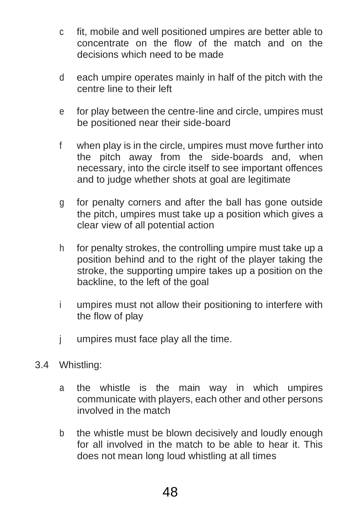- c fit, mobile and well positioned umpires are better able to concentrate on the flow of the match and on the decisions which need to be made
- d each umpire operates mainly in half of the pitch with the centre line to their left
- e for play between the centre-line and circle, umpires must be positioned near their side-board
- f when play is in the circle, umpires must move further into the pitch away from the side-boards and, when necessary, into the circle itself to see important offences and to judge whether shots at goal are legitimate
- g for penalty corners and after the ball has gone outside the pitch, umpires must take up a position which gives a clear view of all potential action
- h for penalty strokes, the controlling umpire must take up a position behind and to the right of the player taking the stroke, the supporting umpire takes up a position on the backline, to the left of the goal
- i umpires must not allow their positioning to interfere with the flow of play
- j umpires must face play all the time.
- <span id="page-47-0"></span>3.4 Whistling:
	- a the whistle is the main way in which umpires communicate with players, each other and other persons involved in the match
	- b the whistle must be blown decisively and loudly enough for all involved in the match to be able to hear it. This does not mean long loud whistling at all times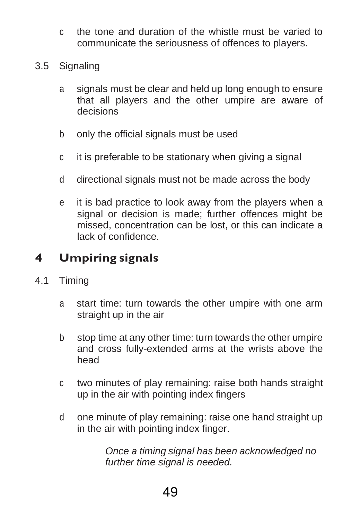- c the tone and duration of the whistle must be varied to communicate the seriousness of offences to players.
- 3.5 Signaling
	- a signals must be clear and held up long enough to ensure that all players and the other umpire are aware of decisions
	- b only the official signals must be used
	- c it is preferable to be stationary when giving a signal
	- d directional signals must not be made across the body
	- e it is bad practice to look away from the players when a signal or decision is made; further offences might be missed, concentration can be lost, or this can indicate a lack of confidence.

## **4 Umpiring signals**

- 4.1 Timing
	- a start time: turn towards the other umpire with one arm straight up in the air
	- b stop time at any other time: turn towards the other umpire and cross fully-extended arms at the wrists above the head
	- c two minutes of play remaining: raise both hands straight up in the air with pointing index fingers
	- d one minute of play remaining: raise one hand straight up in the air with pointing index finger.

*Once a timing signal has been acknowledged no further time signal is needed.*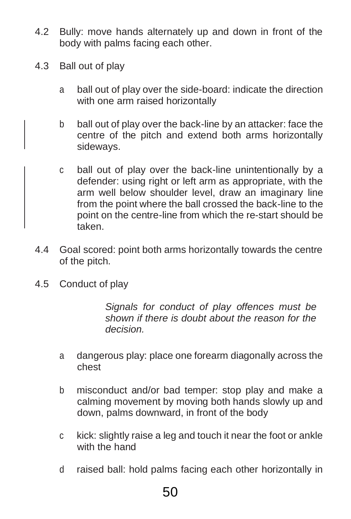- 4.2 Bully: move hands alternately up and down in front of the body with palms facing each other.
- 4.3 Ball out of play
	- a ball out of play over the side-board: indicate the direction with one arm raised horizontally
	- b ball out of play over the back-line by an attacker: face the centre of the pitch and extend both arms horizontally sideways.
	- c ball out of play over the back-line unintentionally by a defender: using right or left arm as appropriate, with the arm well below shoulder level, draw an imaginary line from the point where the ball crossed the back-line to the point on the centre-line from which the re-start should be taken.
- 4.4 Goal scored: point both arms horizontally towards the centre of the pitch.
- 4.5 Conduct of play

*Signals for conduct of play offences must be shown if there is doubt about the reason for the decision.*

- a dangerous play: place one forearm diagonally across the chest
- b misconduct and/or bad temper: stop play and make a calming movement by moving both hands slowly up and down, palms downward, in front of the body
- c kick: slightly raise a leg and touch it near the foot or ankle with the hand
- d raised ball: hold palms facing each other horizontally in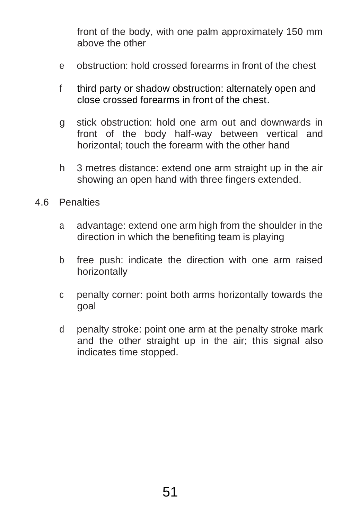front of the body, with one palm approximately 150 mm above the other

- e obstruction: hold crossed forearms in front of the chest
- f third party or shadow obstruction: alternately open and close crossed forearms in front of the chest.
- g stick obstruction: hold one arm out and downwards in front of the body half-way between vertical and horizontal; touch the forearm with the other hand
- h 3 metres distance: extend one arm straight up in the air showing an open hand with three fingers extended.
- 4.6 Penalties
	- a advantage: extend one arm high from the shoulder in the direction in which the benefiting team is playing
	- b free push: indicate the direction with one arm raised horizontally
	- c penalty corner: point both arms horizontally towards the goal
	- d penalty stroke: point one arm at the penalty stroke mark and the other straight up in the air; this signal also indicates time stopped.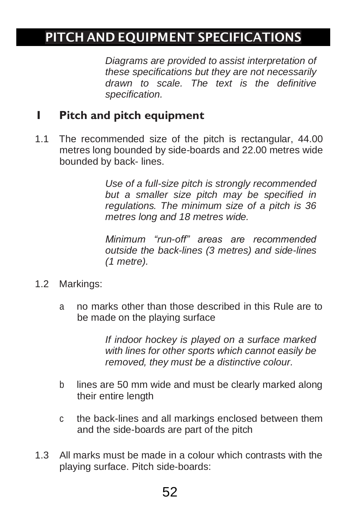## <span id="page-51-0"></span>PITCH AND EQUIPMENT SPECIFICATIONS

*Diagrams are provided to assist interpretation of these specifications but they are not necessarily drawn to scale. The text is the definitive specification.*

## **1 Pitch and pitch equipment**

1.1 The recommended size of the pitch is rectangular, 44.00 metres long bounded by side-boards and 22.00 metres wide bounded by back- lines.

> *Use of a full-size pitch is strongly recommended but a smaller size pitch may be specified in regulations. The minimum size of a pitch is 36 metres long and 18 metres wide.*

> *Minimum "run-off" areas are recommended outside the back-lines (3 metres) and side-lines (1 metre).*

- 1.2 Markings:
	- a no marks other than those described in this Rule are to be made on the playing surface

*If indoor hockey is played on a surface marked with lines for other sports which cannot easily be removed, they must be a distinctive colour.*

- b lines are 50 mm wide and must be clearly marked along their entire length
- c the back-lines and all markings enclosed between them and the side-boards are part of the pitch
- 1.3 All marks must be made in a colour which contrasts with the playing surface. Pitch side-boards: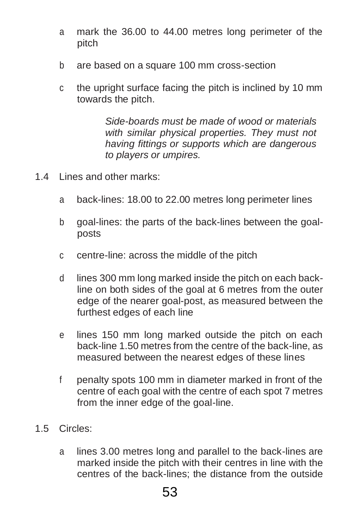- a mark the 36.00 to 44.00 metres long perimeter of the pitch
- b are based on a square 100 mm cross-section
- c the upright surface facing the pitch is inclined by 10 mm towards the pitch.

*Side-boards must be made of wood or materials with similar physical properties. They must not having fittings or supports which are dangerous to players or umpires.*

- 1.4 Lines and other marks:
	- a back-lines: 18.00 to 22.00 metres long perimeter lines
	- b goal-lines: the parts of the back-lines between the goalposts
	- c centre-line: across the middle of the pitch
	- d lines 300 mm long marked inside the pitch on each backline on both sides of the goal at 6 metres from the outer edge of the nearer goal-post, as measured between the furthest edges of each line
	- e lines 150 mm long marked outside the pitch on each back-line 1.50 metres from the centre of the back-line, as measured between the nearest edges of these lines
	- f penalty spots 100 mm in diameter marked in front of the centre of each goal with the centre of each spot 7 metres from the inner edge of the goal-line.
- 1.5 Circles:
	- a lines 3.00 metres long and parallel to the back-lines are marked inside the pitch with their centres in line with the centres of the back-lines; the distance from the outside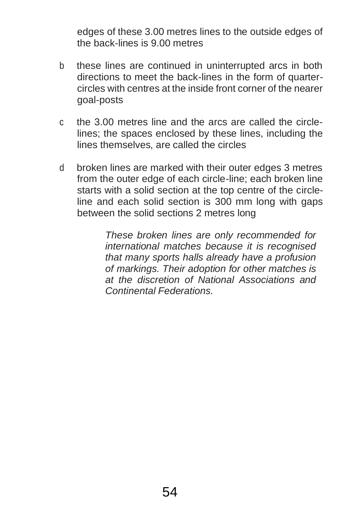edges of these 3.00 metres lines to the outside edges of the back-lines is 9.00 metres

- b these lines are continued in uninterrupted arcs in both directions to meet the back-lines in the form of quartercircles with centres at the inside front corner of the nearer goal-posts
- c the 3.00 metres line and the arcs are called the circlelines; the spaces enclosed by these lines, including the lines themselves, are called the circles
- d broken lines are marked with their outer edges 3 metres from the outer edge of each circle-line; each broken line starts with a solid section at the top centre of the circleline and each solid section is 300 mm long with gaps between the solid sections 2 metres long

*These broken lines are only recommended for international matches because it is recognised that many sports halls already have a profusion of markings. Their adoption for other matches is at the discretion of National Associations and Continental Federations.*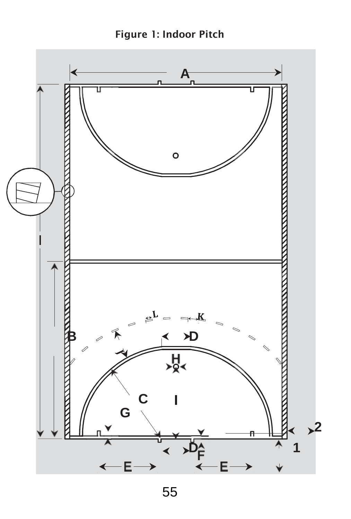

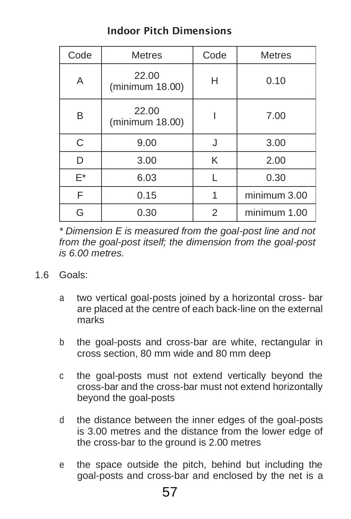## Indoor Pitch Dimensions

| Code | <b>Metres</b>            | Code | <b>Metres</b> |
|------|--------------------------|------|---------------|
| A    | 22.00<br>(minimum 18.00) | н    | 0.10          |
| B    | 22.00<br>(minimum 18.00) |      | 7.00          |
| C    | 9.00                     |      | 3.00          |
| D    | 3.00                     | K    | 2.00          |
| E*   | 6.03                     |      | 0.30          |
| F    | 0.15                     |      | minimum 3.00  |
| G    | 0.30                     | 2    | minimum 1.00  |

*\* Dimension E is measured from the goal-post line and not from the goal-post itself; the dimension from the goal-post is 6.00 metres.*

- 1.6 Goals:
	- a two vertical goal-posts joined by a horizontal cross- bar are placed at the centre of each back-line on the external marks
	- b the goal-posts and cross-bar are white, rectangular in cross section, 80 mm wide and 80 mm deep
	- c the goal-posts must not extend vertically beyond the cross-bar and the cross-bar must not extend horizontally beyond the goal-posts
	- d the distance between the inner edges of the goal-posts is 3.00 metres and the distance from the lower edge of the cross-bar to the ground is 2.00 metres
	- e the space outside the pitch, behind but including the goal-posts and cross-bar and enclosed by the net is a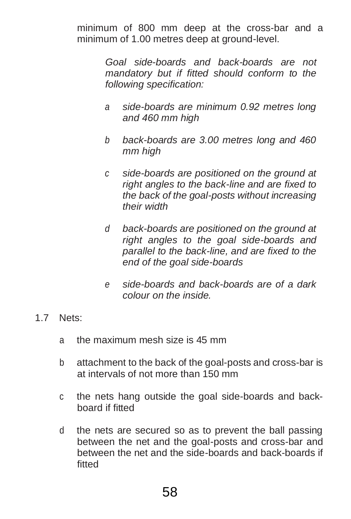minimum of 800 mm deep at the cross-bar and a minimum of 1.00 metres deep at ground-level.

> *Goal side-boards and back-boards are not mandatory but if fitted should conform to the following specification:*

- *a side-boards are minimum 0.92 metres long and 460 mm high*
- *b back-boards are 3.00 metres long and 460 mm high*
- *c side-boards are positioned on the ground at right angles to the back-line and are fixed to the back of the goal-posts without increasing their width*
- *d back-boards are positioned on the ground at right angles to the goal side-boards and parallel to the back-line, and are fixed to the end of the goal side-boards*
- *e side-boards and back-boards are of a dark colour on the inside.*

#### 1.7 Nets:

- a the maximum mesh size is 45 mm
- b attachment to the back of the goal-posts and cross-bar is at intervals of not more than 150 mm
- c the nets hang outside the goal side-boards and backboard if fitted
- d the nets are secured so as to prevent the ball passing between the net and the goal-posts and cross-bar and between the net and the side-boards and back-boards if fitted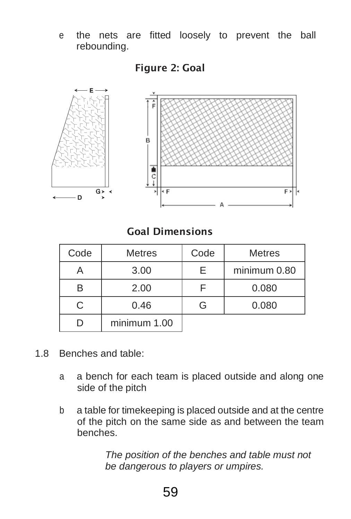e the nets are fitted loosely to prevent the ball rebounding.



Figure 2: Goal

Goal Dimensions

| Code | <b>Metres</b> | Code | <b>Metres</b> |
|------|---------------|------|---------------|
|      | 3.00          | F.   | minimum 0.80  |
| B    | 2.00          |      | 0.080         |
|      | 0.46          |      | 0.080         |
|      | minimum 1.00  |      |               |

- 1.8 Benches and table:
	- a a bench for each team is placed outside and along one side of the pitch
	- b a table for timekeeping is placed outside and at the centre of the pitch on the same side as and between the team benches.

*The position of the benches and table must not be dangerous to players or umpires.*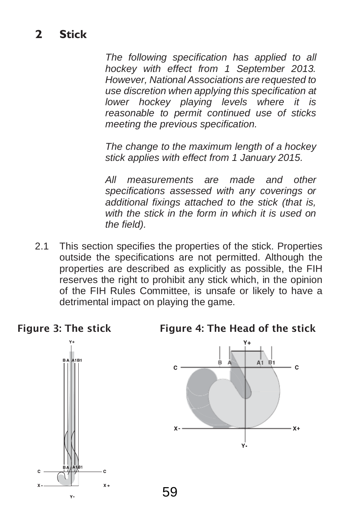<span id="page-58-0"></span>*The following specification has applied to all hockey with effect from 1 September 2013. However, National Associations are requested to use discretion when applying this specification at lower hockey playing levels where it is reasonable to permit continued use of sticks meeting the previous specification.*

*The change to the maximum length of a hockey stick applies with effect from 1 January 2015.*

*All measurements are made and other specifications assessed with any coverings or additional fixings attached to the stick (that is, with the stick in the form in which it is used on the field).*

2.1 This section specifies the properties of the stick. Properties outside the specifications are not permitted. Although the properties are described as explicitly as possible, the FIH reserves the right to prohibit any stick which, in the opinion of the FIH Rules Committee, is unsafe or likely to have a detrimental impact on playing the game.

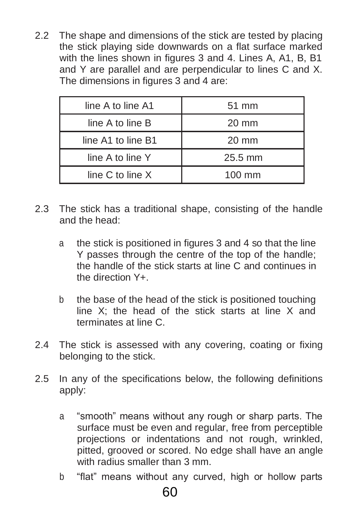2.2 The shape and dimensions of the stick are tested by placing the stick playing side downwards on a flat surface marked with the lines shown in figures 3 and 4. Lines A, A1, B, B1 and Y are parallel and are perpendicular to lines C and X. The dimensions in figures 3 and 4 are:

| line A to line A1    | $51 \text{ mm}$  |
|----------------------|------------------|
| line A to line B     | $20 \text{ mm}$  |
| line A1 to line B1   | $20 \text{ mm}$  |
| line A to line Y     | 25.5 mm          |
| line $C$ to line $X$ | $100 \text{ mm}$ |

- 2.3 The stick has a traditional shape, consisting of the handle and the head:
	- a the stick is positioned in figures 3 and 4 so that the line Y passes through the centre of the top of the handle; the handle of the stick starts at line C and continues in the direction Y+.
	- b the base of the head of the stick is positioned touching line X; the head of the stick starts at line X and terminates at line C.
- 2.4 The stick is assessed with any covering, coating or fixing belonging to the stick.
- 2.5 In any of the specifications below, the following definitions apply:
	- a "smooth" means without any rough or sharp parts. The surface must be even and regular, free from perceptible projections or indentations and not rough, wrinkled, pitted, grooved or scored. No edge shall have an angle with radius smaller than 3 mm.
	- b "flat" means without any curved, high or hollow parts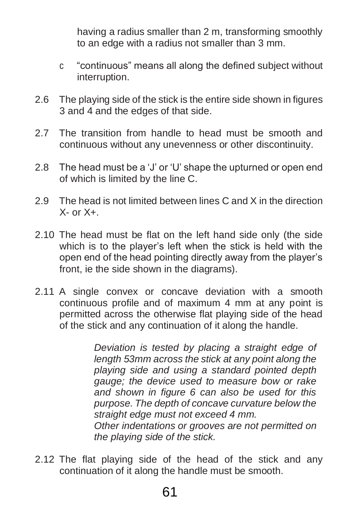having a radius smaller than 2 m, transforming smoothly to an edge with a radius not smaller than 3 mm.

- c "continuous" means all along the defined subject without interruption.
- 2.6 The playing side of the stick is the entire side shown in figures 3 and 4 and the edges of that side.
- 2.7 The transition from handle to head must be smooth and continuous without any unevenness or other discontinuity.
- 2.8 The head must be a 'J' or 'U' shape the upturned or open end of which is limited by the line C.
- 2.9 The head is not limited between lines C and X in the direction  $X-$  or  $X+$ .
- 2.10 The head must be flat on the left hand side only (the side which is to the player's left when the stick is held with the open end of the head pointing directly away from the player's front, ie the side shown in the diagrams).
- 2.11 A single convex or concave deviation with a smooth continuous profile and of maximum 4 mm at any point is permitted across the otherwise flat playing side of the head of the stick and any continuation of it along the handle.

*Deviation is tested by placing a straight edge of length 53mm across the stick at any point along the playing side and using a standard pointed depth gauge; the device used to measure bow or rake and shown in figure 6 can also be used for this purpose. The depth of concave curvature below the straight edge must not exceed 4 mm. Other indentations or grooves are not permitted on* 

*the playing side of the stick.*

2.12 The flat playing side of the head of the stick and any continuation of it along the handle must be smooth.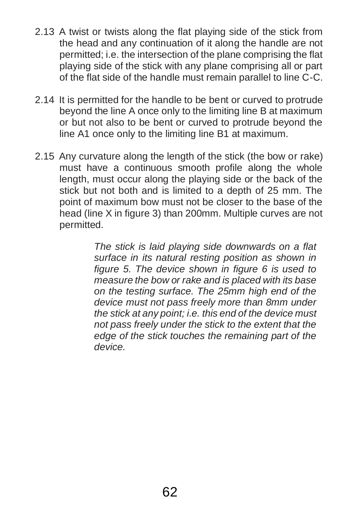- 2.13 A twist or twists along the flat playing side of the stick from the head and any continuation of it along the handle are not permitted; i.e. the intersection of the plane comprising the flat playing side of the stick with any plane comprising all or part of the flat side of the handle must remain parallel to line C-C.
- 2.14 It is permitted for the handle to be bent or curved to protrude beyond the line A once only to the limiting line B at maximum or but not also to be bent or curved to protrude beyond the line A1 once only to the limiting line B1 at maximum.
- 2.15 Any curvature along the length of the stick (the bow or rake) must have a continuous smooth profile along the whole length, must occur along the playing side or the back of the stick but not both and is limited to a depth of 25 mm. The point of maximum bow must not be closer to the base of the head (line X in figure 3) than 200mm. Multiple curves are not permitted.

*The stick is laid playing side downwards on a flat surface in its natural resting position as shown in figure 5. The device shown in figure 6 is used to measure the bow or rake and is placed with its base on the testing surface. The 25mm high end of the device must not pass freely more than 8mm under the stick at any point; i.e. this end of the device must not pass freely under the stick to the extent that the edge of the stick touches the remaining part of the device.*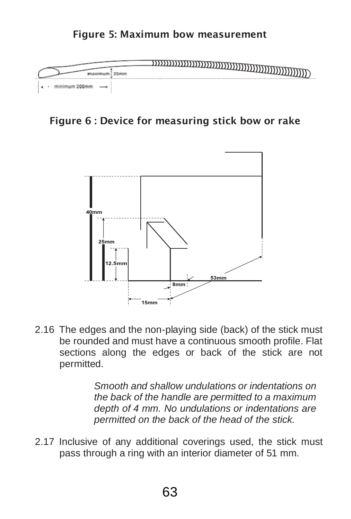#### Figure 5: Maximum bow measurement



Figure 6 : Device for measuring stick bow or rake



2.16 The edges and the non-playing side (back) of the stick must be rounded and must have a continuous smooth profile. Flat sections along the edges or back of the stick are not permitted.

> *Smooth and shallow undulations or indentations on the back of the handle are permitted to a maximum depth of 4 mm. No undulations or indentations are permitted on the back of the head of the stick.*

2.17 Inclusive of any additional coverings used, the stick must pass through a ring with an interior diameter of 51 mm.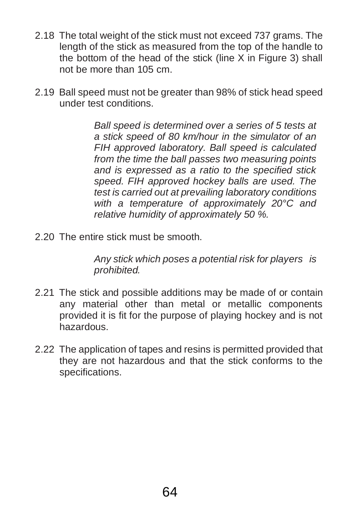- 2.18 The total weight of the stick must not exceed 737 grams. The length of the stick as measured from the top of the handle to the bottom of the head of the stick (line  $X$  in Figure 3) shall not be more than 105 cm.
- 2.19 Ball speed must not be greater than 98% of stick head speed under test conditions.

*Ball speed is determined over a series of 5 tests at a stick speed of 80 km/hour in the simulator of an FIH approved laboratory. Ball speed is calculated from the time the ball passes two measuring points and is expressed as a ratio to the specified stick speed. FIH approved hockey balls are used. The test is carried out at prevailing laboratory conditions with a temperature of approximately 20°C and relative humidity of approximately 50 %.*

2.20 The entire stick must be smooth.

*Any stick which poses a potential risk for players is prohibited.*

- 2.21 The stick and possible additions may be made of or contain any material other than metal or metallic components provided it is fit for the purpose of playing hockey and is not hazardous.
- 2.22 The application of tapes and resins is permitted provided that they are not hazardous and that the stick conforms to the specifications.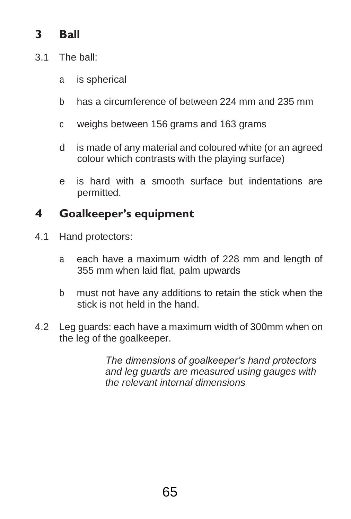## <span id="page-64-0"></span>**3 Ball**

- 3.1 The ball:
	- a is spherical
	- b has a circumference of between 224 mm and 235 mm
	- c weighs between 156 grams and 163 grams
	- d is made of any material and coloured white (or an agreed colour which contrasts with the playing surface)
	- e is hard with a smooth surface but indentations are permitted.

## **4 Goalkeeper's equipment**

- 4.1 Hand protectors:
	- a each have a maximum width of 228 mm and length of 355 mm when laid flat, palm upwards
	- b must not have any additions to retain the stick when the stick is not held in the hand.
- 4.2 Leg guards: each have a maximum width of 300mm when on the leg of the goalkeeper.

*The dimensions of goalkeeper's hand protectors and leg guards are measured using gauges with the relevant internal dimensions*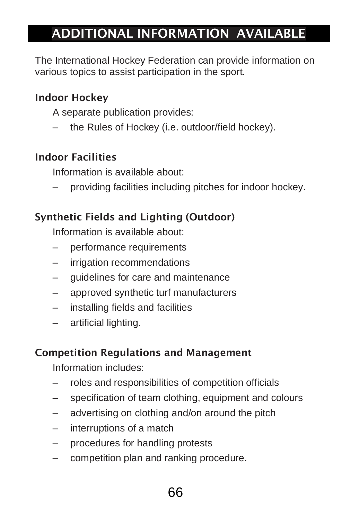## <span id="page-65-0"></span>ADDITIONAL INFORMATION AVAILABLE

The International Hockey Federation can provide information on various topics to assist participation in the sport.

#### Indoor Hockey

A separate publication provides:

– the Rules of Hockey (i.e. outdoor/field hockey).

#### Indoor Facilities

Information is available about:

– providing facilities including pitches for indoor hockey.

#### Synthetic Fields and Lighting (Outdoor)

Information is available about:

- performance requirements
- irrigation recommendations
- guidelines for care and maintenance
- approved synthetic turf manufacturers
- installing fields and facilities
- artificial lighting.

#### Competition Regulations and Management

Information includes:

- roles and responsibilities of competition officials
- specification of team clothing, equipment and colours
- advertising on clothing and/on around the pitch
- interruptions of a match
- procedures for handling protests
- competition plan and ranking procedure.

## 66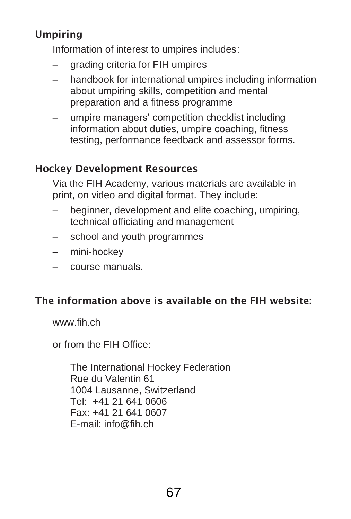## Umpiring

Information of interest to umpires includes:

- grading criteria for FIH umpires
- handbook for international umpires including information about umpiring skills, competition and mental preparation and a fitness programme
- umpire managers' competition checklist including information about duties, umpire coaching, fitness testing, performance feedback and assessor forms.

#### Hockey Development Resources

Via the FIH Academy, various materials are available in print, on video and digital format. They include:

- beginner, development and elite coaching, umpiring, technical officiating and management
- school and youth programmes
- mini-hockey
- course manuals.

## The information above is available on the FIH website:

[www.fih.ch](http://www.fih.ch/)

or from the FIH Office:

The International Hockey Federation Rue du Valentin 61 1004 Lausanne, Switzerland Tel: +41 21 641 0606 Fax: +41 21 641 0607 E-mail: [info@fih.ch](mailto:info@fih.ch)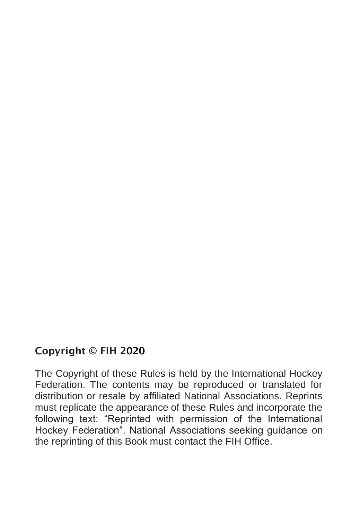#### Copyright © FIH 2020

The Copyright of these Rules is held by the International Hockey Federation. The contents may be reproduced or translated for distribution or resale by affiliated National Associations. Reprints must replicate the appearance of these Rules and incorporate the following text: "Reprinted with permission of the International Hockey Federation". National Associations seeking guidance on the reprinting of this Book must contact the FIH Office.